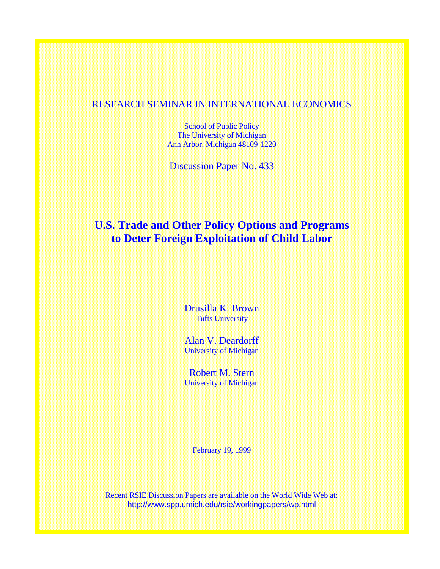# RESEARCH SEMINAR IN INTERNATIONAL ECONOMICS

School of Public Policy The University of Michigan Ann Arbor, Michigan 48109-1220

Discussion Paper No. 433

# **U.S. Trade and Other Policy Options and Programs to Deter Foreign Exploitation of Child Labor**

Drusilla K. Brown Tufts University

Alan V. Deardorff University of Michigan

Robert M. Stern University of Michigan

February 19, 1999

Recent RSIE Discussion Papers are available on the World Wide Web at: http://www.spp.umich.edu/rsie/workingpapers/wp.html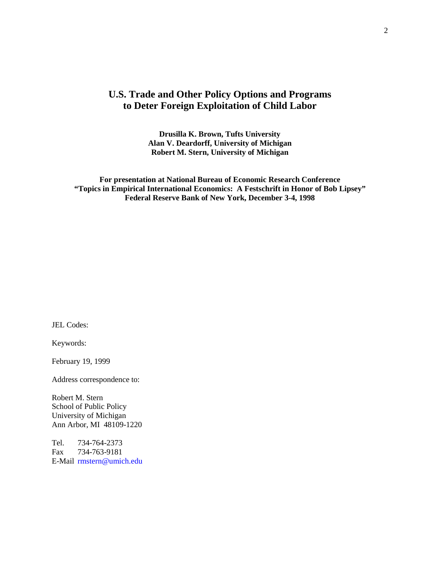# **U.S. Trade and Other Policy Options and Programs to Deter Foreign Exploitation of Child Labor**

**Drusilla K. Brown, Tufts University Alan V. Deardorff, University of Michigan Robert M. Stern, University of Michigan**

**For presentation at National Bureau of Economic Research Conference "Topics in Empirical International Economics: A Festschrift in Honor of Bob Lipsey" Federal Reserve Bank of New York, December 3-4, 1998**

JEL Codes:

Keywords:

February 19, 1999

Address correspondence to:

Robert M. Stern School of Public Policy University of Michigan Ann Arbor, MI 48109-1220

Tel. 734-764-2373 Fax 734-763-9181 E-Mail rmstern@umich.edu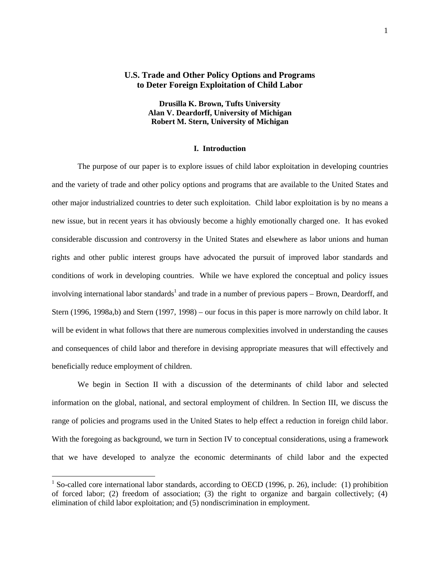# **U.S. Trade and Other Policy Options and Programs to Deter Foreign Exploitation of Child Labor**

**Drusilla K. Brown, Tufts University Alan V. Deardorff, University of Michigan Robert M. Stern, University of Michigan**

#### **I. Introduction**

The purpose of our paper is to explore issues of child labor exploitation in developing countries and the variety of trade and other policy options and programs that are available to the United States and other major industrialized countries to deter such exploitation. Child labor exploitation is by no means a new issue, but in recent years it has obviously become a highly emotionally charged one. It has evoked considerable discussion and controversy in the United States and elsewhere as labor unions and human rights and other public interest groups have advocated the pursuit of improved labor standards and conditions of work in developing countries. While we have explored the conceptual and policy issues involving international labor standards<sup>1</sup> and trade in a number of previous papers – Brown, Deardorff, and Stern (1996, 1998a,b) and Stern (1997, 1998) – our focus in this paper is more narrowly on child labor. It will be evident in what follows that there are numerous complexities involved in understanding the causes and consequences of child labor and therefore in devising appropriate measures that will effectively and beneficially reduce employment of children.

We begin in Section II with a discussion of the determinants of child labor and selected information on the global, national, and sectoral employment of children. In Section III, we discuss the range of policies and programs used in the United States to help effect a reduction in foreign child labor. With the foregoing as background, we turn in Section IV to conceptual considerations, using a framework that we have developed to analyze the economic determinants of child labor and the expected

 $\overline{a}$ 

<sup>&</sup>lt;sup>1</sup> So-called core international labor standards, according to OECD (1996, p. 26), include: (1) prohibition of forced labor; (2) freedom of association; (3) the right to organize and bargain collectively; (4) elimination of child labor exploitation; and (5) nondiscrimination in employment.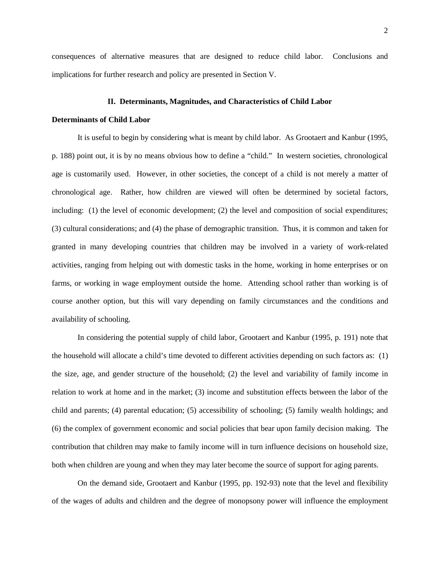consequences of alternative measures that are designed to reduce child labor. Conclusions and implications for further research and policy are presented in Section V.

#### **II. Determinants, Magnitudes, and Characteristics of Child Labor**

#### **Determinants of Child Labor**

It is useful to begin by considering what is meant by child labor. As Grootaert and Kanbur (1995, p. 188) point out, it is by no means obvious how to define a "child." In western societies, chronological age is customarily used. However, in other societies, the concept of a child is not merely a matter of chronological age. Rather, how children are viewed will often be determined by societal factors, including: (1) the level of economic development; (2) the level and composition of social expenditures; (3) cultural considerations; and (4) the phase of demographic transition. Thus, it is common and taken for granted in many developing countries that children may be involved in a variety of work-related activities, ranging from helping out with domestic tasks in the home, working in home enterprises or on farms, or working in wage employment outside the home. Attending school rather than working is of course another option, but this will vary depending on family circumstances and the conditions and availability of schooling.

In considering the potential supply of child labor, Grootaert and Kanbur (1995, p. 191) note that the household will allocate a child's time devoted to different activities depending on such factors as: (1) the size, age, and gender structure of the household; (2) the level and variability of family income in relation to work at home and in the market; (3) income and substitution effects between the labor of the child and parents; (4) parental education; (5) accessibility of schooling; (5) family wealth holdings; and (6) the complex of government economic and social policies that bear upon family decision making. The contribution that children may make to family income will in turn influence decisions on household size, both when children are young and when they may later become the source of support for aging parents.

On the demand side, Grootaert and Kanbur (1995, pp. 192-93) note that the level and flexibility of the wages of adults and children and the degree of monopsony power will influence the employment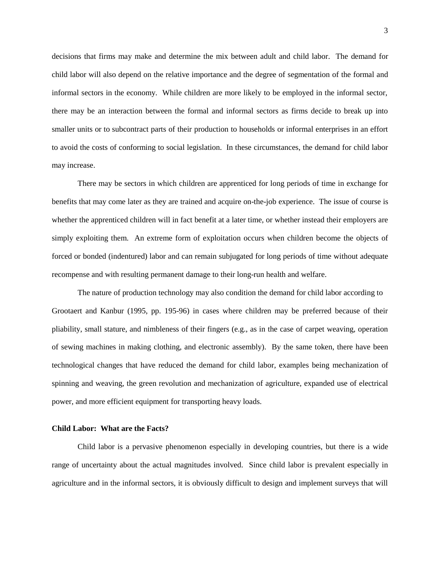decisions that firms may make and determine the mix between adult and child labor. The demand for child labor will also depend on the relative importance and the degree of segmentation of the formal and informal sectors in the economy. While children are more likely to be employed in the informal sector, there may be an interaction between the formal and informal sectors as firms decide to break up into smaller units or to subcontract parts of their production to households or informal enterprises in an effort to avoid the costs of conforming to social legislation. In these circumstances, the demand for child labor may increase.

There may be sectors in which children are apprenticed for long periods of time in exchange for benefits that may come later as they are trained and acquire on-the-job experience. The issue of course is whether the apprenticed children will in fact benefit at a later time, or whether instead their employers are simply exploiting them. An extreme form of exploitation occurs when children become the objects of forced or bonded (indentured) labor and can remain subjugated for long periods of time without adequate recompense and with resulting permanent damage to their long-run health and welfare.

The nature of production technology may also condition the demand for child labor according to Grootaert and Kanbur (1995, pp. 195-96) in cases where children may be preferred because of their pliability, small stature, and nimbleness of their fingers (e.g., as in the case of carpet weaving, operation of sewing machines in making clothing, and electronic assembly). By the same token, there have been technological changes that have reduced the demand for child labor, examples being mechanization of spinning and weaving, the green revolution and mechanization of agriculture, expanded use of electrical power, and more efficient equipment for transporting heavy loads.

## **Child Labor: What are the Facts?**

Child labor is a pervasive phenomenon especially in developing countries, but there is a wide range of uncertainty about the actual magnitudes involved. Since child labor is prevalent especially in agriculture and in the informal sectors, it is obviously difficult to design and implement surveys that will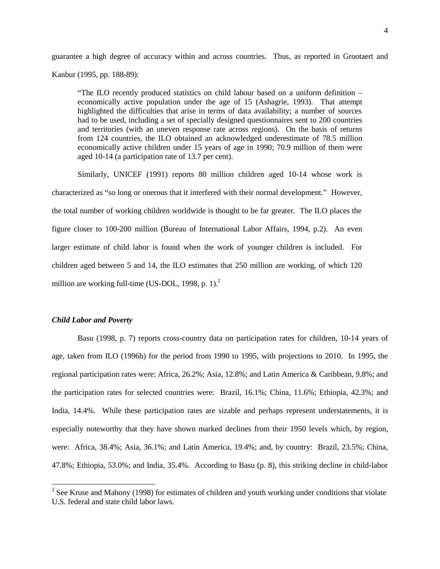guarantee a high degree of accuracy within and across countries. Thus, as reported in Grootaert and Kanbur (1995, pp. 188-89):

"The ILO recently produced statistics on child labour based on a uniform definition – economically active population under the age of 15 (Ashagrie, 1993). That attempt highlighted the difficulties that arise in terms of data availability; a number of sources had to be used, including a set of specially designed questionnaires sent to 200 countries and territories (with an uneven response rate across regions). On the basis of returns from 124 countries, the ILO obtained an acknowledged underestimate of 78.5 million economically active children under 15 years of age in 1990; 70.9 million of them were aged 10-14 (a participation rate of 13.7 per cent).

Similarly, UNICEF (1991) reports 80 million children aged 10-14 whose work is characterized as "so long or onerous that it interfered with their normal development." However, the total number of working children worldwide is thought to be far greater. The ILO places the figure closer to 100-200 million (Bureau of International Labor Affairs, 1994, p.2). An even larger estimate of child labor is found when the work of younger children is included. For children aged between 5 and 14, the ILO estimates that 250 million are working, of which 120 million are working full-time (US-DOL, 1998, p. 1). $<sup>2</sup>$ </sup>

## *Child Labor and Poverty*

l

Basu (1998, p. 7) reports cross-country data on participation rates for children, 10-14 years of age, taken from ILO (1996b) for the period from 1990 to 1995, with projections to 2010. In 1995, the regional participation rates were: Africa, 26.2%; Asia, 12.8%; and Latin America & Caribbean, 9.8%; and the participation rates for selected countries were: Brazil, 16.1%; China, 11.6%; Ethiopia, 42.3%; and India, 14.4%. While these participation rates are sizable and perhaps represent understatements, it is especially noteworthy that they have shown marked declines from their 1950 levels which, by region, were: Africa, 38.4%; Asia, 36.1%; and Latin America, 19.4%; and, by country: Brazil, 23.5%; China, 47.8%; Ethiopia, 53.0%; and India, 35.4%. According to Basu (p. 8), this striking decline in child-labor

 $2^{2}$  See Kruse and Mahony (1998) for estimates of children and youth working under conditions that violate U.S. federal and state child labor laws.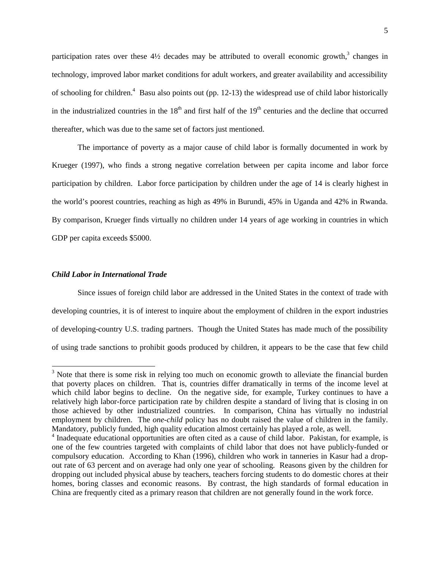participation rates over these  $4\frac{1}{2}$  decades may be attributed to overall economic growth,<sup>3</sup> changes in technology, improved labor market conditions for adult workers, and greater availability and accessibility of schooling for children.<sup>4</sup> Basu also points out (pp. 12-13) the widespread use of child labor historically in the industrialized countries in the  $18<sup>th</sup>$  and first half of the  $19<sup>th</sup>$  centuries and the decline that occurred thereafter, which was due to the same set of factors just mentioned.

The importance of poverty as a major cause of child labor is formally documented in work by Krueger (1997), who finds a strong negative correlation between per capita income and labor force participation by children. Labor force participation by children under the age of 14 is clearly highest in the world's poorest countries, reaching as high as 49% in Burundi, 45% in Uganda and 42% in Rwanda. By comparison, Krueger finds virtually no children under 14 years of age working in countries in which GDP per capita exceeds \$5000.

## *Child Labor in International Trade*

 $\overline{a}$ 

Since issues of foreign child labor are addressed in the United States in the context of trade with developing countries, it is of interest to inquire about the employment of children in the export industries of developing-country U.S. trading partners. Though the United States has made much of the possibility of using trade sanctions to prohibit goods produced by children, it appears to be the case that few child

<sup>&</sup>lt;sup>3</sup> Note that there is some risk in relying too much on economic growth to alleviate the financial burden that poverty places on children. That is, countries differ dramatically in terms of the income level at which child labor begins to decline. On the negative side, for example, Turkey continues to have a relatively high labor-force participation rate by children despite a standard of living that is closing in on those achieved by other industrialized countries. In comparison, China has virtually no industrial employment by children. The *one-child* policy has no doubt raised the value of children in the family. Mandatory, publicly funded, high quality education almost certainly has played a role, as well.

<sup>&</sup>lt;sup>4</sup> Inadequate educational opportunities are often cited as a cause of child labor. Pakistan, for example, is one of the few countries targeted with complaints of child labor that does not have publicly-funded or compulsory education. According to Khan (1996), children who work in tanneries in Kasur had a dropout rate of 63 percent and on average had only one year of schooling. Reasons given by the children for dropping out included physical abuse by teachers, teachers forcing students to do domestic chores at their homes, boring classes and economic reasons. By contrast, the high standards of formal education in China are frequently cited as a primary reason that children are not generally found in the work force.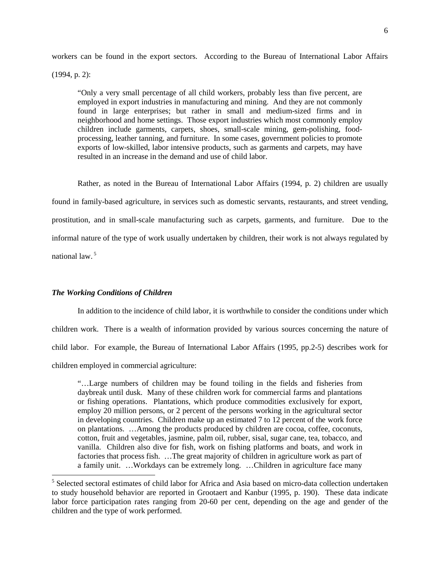workers can be found in the export sectors. According to the Bureau of International Labor Affairs (1994, p. 2):

"Only a very small percentage of all child workers, probably less than five percent, are employed in export industries in manufacturing and mining. And they are not commonly found in large enterprises; but rather in small and medium-sized firms and in neighborhood and home settings. Those export industries which most commonly employ children include garments, carpets, shoes, small-scale mining, gem-polishing, foodprocessing, leather tanning, and furniture. In some cases, government policies to promote exports of low-skilled, labor intensive products, such as garments and carpets, may have resulted in an increase in the demand and use of child labor.

Rather, as noted in the Bureau of International Labor Affairs (1994, p. 2) children are usually found in family-based agriculture, in services such as domestic servants, restaurants, and street vending, prostitution, and in small-scale manufacturing such as carpets, garments, and furniture. Due to the informal nature of the type of work usually undertaken by children, their work is not always regulated by national law<sup>5</sup>

# *The Working Conditions of Children*

 $\overline{a}$ 

In addition to the incidence of child labor, it is worthwhile to consider the conditions under which children work. There is a wealth of information provided by various sources concerning the nature of child labor. For example, the Bureau of International Labor Affairs (1995, pp.2-5) describes work for children employed in commercial agriculture:

"…Large numbers of children may be found toiling in the fields and fisheries from daybreak until dusk. Many of these children work for commercial farms and plantations or fishing operations. Plantations, which produce commodities exclusively for export, employ 20 million persons, or 2 percent of the persons working in the agricultural sector in developing countries. Children make up an estimated 7 to 12 percent of the work force on plantations. …Among the products produced by children are cocoa, coffee, coconuts, cotton, fruit and vegetables, jasmine, palm oil, rubber, sisal, sugar cane, tea, tobacco, and vanilla. Children also dive for fish, work on fishing platforms and boats, and work in factories that process fish. …The great majority of children in agriculture work as part of a family unit. …Workdays can be extremely long. …Children in agriculture face many

<sup>&</sup>lt;sup>5</sup> Selected sectoral estimates of child labor for Africa and Asia based on micro-data collection undertaken to study household behavior are reported in Grootaert and Kanbur (1995, p. 190). These data indicate labor force participation rates ranging from 20-60 per cent, depending on the age and gender of the children and the type of work performed.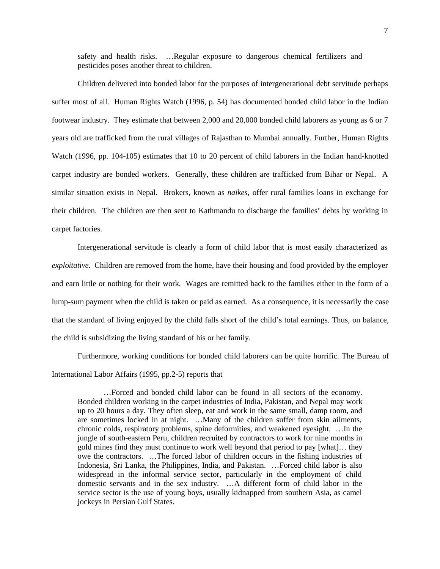safety and health risks. …Regular exposure to dangerous chemical fertilizers and pesticides poses another threat to children.

Children delivered into bonded labor for the purposes of intergenerational debt servitude perhaps suffer most of all. Human Rights Watch (1996, p. 54) has documented bonded child labor in the Indian footwear industry. They estimate that between 2,000 and 20,000 bonded child laborers as young as 6 or 7 years old are trafficked from the rural villages of Rajasthan to Mumbai annually. Further, Human Rights Watch (1996, pp. 104-105) estimates that 10 to 20 percent of child laborers in the Indian hand-knotted carpet industry are bonded workers. Generally, these children are trafficked from Bihar or Nepal. A similar situation exists in Nepal. Brokers, known as *naikes*, offer rural families loans in exchange for their children. The children are then sent to Kathmandu to discharge the families' debts by working in carpet factories.

Intergenerational servitude is clearly a form of child labor that is most easily characterized as *exploitative.* Children are removed from the home, have their housing and food provided by the employer and earn little or nothing for their work. Wages are remitted back to the families either in the form of a lump-sum payment when the child is taken or paid as earned. As a consequence, it is necessarily the case that the standard of living enjoyed by the child falls short of the child's total earnings. Thus, on balance, the child is subsidizing the living standard of his or her family.

Furthermore, working conditions for bonded child laborers can be quite horrific. The Bureau of International Labor Affairs (1995, pp.2-5) reports that

…Forced and bonded child labor can be found in all sectors of the economy. Bonded children working in the carpet industries of India, Pakistan, and Nepal may work up to 20 hours a day. They often sleep, eat and work in the same small, damp room, and are sometimes locked in at night. …Many of the children suffer from skin ailments, chronic colds, respiratory problems, spine deformities, and weakened eyesight. …In the jungle of south-eastern Peru, children recruited by contractors to work for nine months in gold mines find they must continue to work well beyond that period to pay [what]… they owe the contractors. …The forced labor of children occurs in the fishing industries of Indonesia, Sri Lanka, the Philippines, India, and Pakistan. …Forced child labor is also widespread in the informal service sector, particularly in the employment of child domestic servants and in the sex industry. …A different form of child labor in the service sector is the use of young boys, usually kidnapped from southern Asia, as camel jockeys in Persian Gulf States.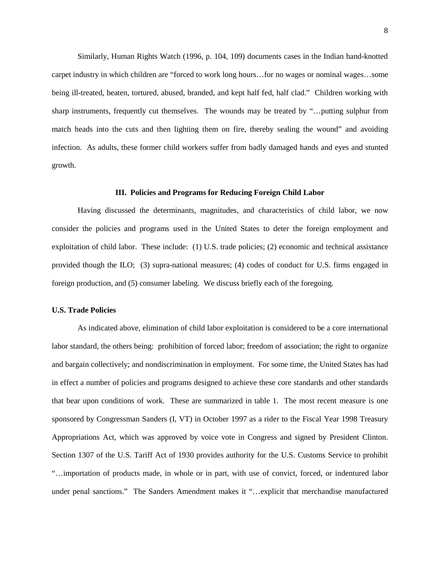Similarly, Human Rights Watch (1996, p. 104, 109) documents cases in the Indian hand-knotted carpet industry in which children are "forced to work long hours…for no wages or nominal wages…some being ill-treated, beaten, tortured, abused, branded, and kept half fed, half clad." Children working with sharp instruments, frequently cut themselves. The wounds may be treated by "…putting sulphur from match heads into the cuts and then lighting them on fire, thereby sealing the wound" and avoiding infection. As adults, these former child workers suffer from badly damaged hands and eyes and stunted growth.

#### **III. Policies and Programs for Reducing Foreign Child Labor**

Having discussed the determinants, magnitudes, and characteristics of child labor, we now consider the policies and programs used in the United States to deter the foreign employment and exploitation of child labor. These include: (1) U.S. trade policies; (2) economic and technical assistance provided though the ILO; (3) supra-national measures; (4) codes of conduct for U.S. firms engaged in foreign production, and (5) consumer labeling. We discuss briefly each of the foregoing.

# **U.S. Trade Policies**

As indicated above, elimination of child labor exploitation is considered to be a core international labor standard, the others being: prohibition of forced labor; freedom of association; the right to organize and bargain collectively; and nondiscrimination in employment. For some time, the United States has had in effect a number of policies and programs designed to achieve these core standards and other standards that bear upon conditions of work. These are summarized in table 1. The most recent measure is one sponsored by Congressman Sanders (I, VT) in October 1997 as a rider to the Fiscal Year 1998 Treasury Appropriations Act, which was approved by voice vote in Congress and signed by President Clinton. Section 1307 of the U.S. Tariff Act of 1930 provides authority for the U.S. Customs Service to prohibit "…importation of products made, in whole or in part, with use of convict, forced, or indentured labor under penal sanctions." The Sanders Amendment makes it "…explicit that merchandise manufactured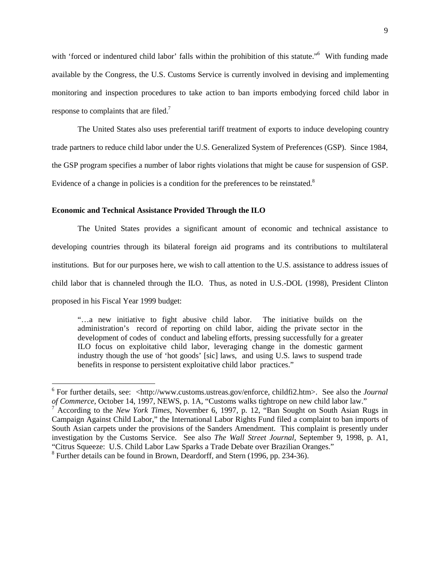with 'forced or indentured child labor' falls within the prohibition of this statute."<sup>6</sup> With funding made available by the Congress, the U.S. Customs Service is currently involved in devising and implementing monitoring and inspection procedures to take action to ban imports embodying forced child labor in response to complaints that are filed.<sup>7</sup>

The United States also uses preferential tariff treatment of exports to induce developing country trade partners to reduce child labor under the U.S. Generalized System of Preferences (GSP). Since 1984, the GSP program specifies a number of labor rights violations that might be cause for suspension of GSP. Evidence of a change in policies is a condition for the preferences to be reinstated.<sup>8</sup>

### **Economic and Technical Assistance Provided Through the ILO**

 $\overline{a}$ 

The United States provides a significant amount of economic and technical assistance to developing countries through its bilateral foreign aid programs and its contributions to multilateral institutions. But for our purposes here, we wish to call attention to the U.S. assistance to address issues of child labor that is channeled through the ILO. Thus, as noted in U.S.-DOL (1998), President Clinton proposed in his Fiscal Year 1999 budget:

"…a new initiative to fight abusive child labor. The initiative builds on the administration's record of reporting on child labor, aiding the private sector in the development of codes of conduct and labeling efforts, pressing successfully for a greater ILO focus on exploitative child labor, leveraging change in the domestic garment industry though the use of 'hot goods' [sic] laws, and using U.S. laws to suspend trade benefits in response to persistent exploitative child labor practices."

<sup>&</sup>lt;sup>6</sup> For further details, see: <http://www.customs.ustreas.gov/enforce, childfi2.htm>. See also the *Journal of Commerce*, October 14, 1997, NEWS, p. 1A, "Customs walks tightrope on new child labor law."

<sup>&</sup>lt;sup>7</sup> According to the *New York Times*, November 6, 1997, p. 12, "Ban Sought on South Asian Rugs in Campaign Against Child Labor," the International Labor Rights Fund filed a complaint to ban imports of South Asian carpets under the provisions of the Sanders Amendment. This complaint is presently under investigation by the Customs Service. See also *The Wall Street Journal,* September 9, 1998, p. A1, "Citrus Squeeze: U.S. Child Labor Law Sparks a Trade Debate over Brazilian Oranges." <sup>8</sup> Further details can be found in Brown, Deardorff, and Stern (1996, pp. 234-36).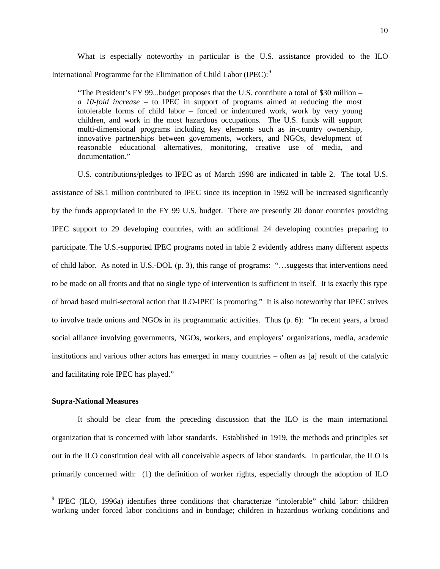What is especially noteworthy in particular is the U.S. assistance provided to the ILO International Programme for the Elimination of Child Labor (IPEC):<sup>9</sup>

"The President's FY 99...budget proposes that the U.S. contribute a total of \$30 million – *a 10-fold increase –* to IPEC in support of programs aimed at reducing the most intolerable forms of child labor – forced or indentured work, work by very young children, and work in the most hazardous occupations. The U.S. funds will support multi-dimensional programs including key elements such as in-country ownership, innovative partnerships between governments, workers, and NGOs, development of reasonable educational alternatives, monitoring, creative use of media, and documentation."

U.S. contributions/pledges to IPEC as of March 1998 are indicated in table 2. The total U.S. assistance of \$8.1 million contributed to IPEC since its inception in 1992 will be increased significantly by the funds appropriated in the FY 99 U.S. budget. There are presently 20 donor countries providing IPEC support to 29 developing countries, with an additional 24 developing countries preparing to participate. The U.S.-supported IPEC programs noted in table 2 evidently address many different aspects of child labor. As noted in U.S.-DOL (p. 3), this range of programs: "…suggests that interventions need to be made on all fronts and that no single type of intervention is sufficient in itself. It is exactly this type of broad based multi-sectoral action that ILO-IPEC is promoting." It is also noteworthy that IPEC strives to involve trade unions and NGOs in its programmatic activities. Thus (p. 6): "In recent years, a broad social alliance involving governments, NGOs, workers, and employers' organizations, media, academic institutions and various other actors has emerged in many countries – often as [a] result of the catalytic and facilitating role IPEC has played."

## **Supra-National Measures**

l

It should be clear from the preceding discussion that the ILO is the main international organization that is concerned with labor standards. Established in 1919, the methods and principles set out in the ILO constitution deal with all conceivable aspects of labor standards. In particular, the ILO is primarily concerned with: (1) the definition of worker rights, especially through the adoption of ILO

<sup>&</sup>lt;sup>9</sup> IPEC (ILO, 1996a) identifies three conditions that characterize "intolerable" child labor: children working under forced labor conditions and in bondage; children in hazardous working conditions and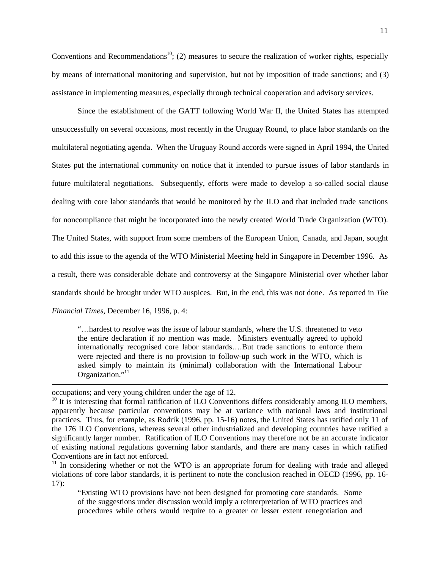Conventions and Recommendations<sup>10</sup>; (2) measures to secure the realization of worker rights, especially by means of international monitoring and supervision, but not by imposition of trade sanctions; and (3) assistance in implementing measures, especially through technical cooperation and advisory services.

Since the establishment of the GATT following World War II, the United States has attempted unsuccessfully on several occasions, most recently in the Uruguay Round, to place labor standards on the multilateral negotiating agenda. When the Uruguay Round accords were signed in April 1994, the United States put the international community on notice that it intended to pursue issues of labor standards in future multilateral negotiations. Subsequently, efforts were made to develop a so-called social clause dealing with core labor standards that would be monitored by the ILO and that included trade sanctions for noncompliance that might be incorporated into the newly created World Trade Organization (WTO). The United States, with support from some members of the European Union, Canada, and Japan, sought to add this issue to the agenda of the WTO Ministerial Meeting held in Singapore in December 1996. As a result, there was considerable debate and controversy at the Singapore Ministerial over whether labor standards should be brought under WTO auspices. But, in the end, this was not done. As reported in *The Financial Times*, December 16, 1996, p. 4:

"…hardest to resolve was the issue of labour standards, where the U.S. threatened to veto the entire declaration if no mention was made. Ministers eventually agreed to uphold internationally recognised core labor standards….But trade sanctions to enforce them were rejected and there is no provision to follow-up such work in the WTO, which is asked simply to maintain its (minimal) collaboration with the International Labour Organization."<sup>11</sup>

 $\overline{a}$ 

occupations; and very young children under the age of 12.

 $10$  It is interesting that formal ratification of ILO Conventions differs considerably among ILO members, apparently because particular conventions may be at variance with national laws and institutional practices. Thus, for example, as Rodrik (1996, pp. 15-16) notes, the United States has ratified only 11 of the 176 ILO Conventions, whereas several other industrialized and developing countries have ratified a significantly larger number. Ratification of ILO Conventions may therefore not be an accurate indicator of existing national regulations governing labor standards, and there are many cases in which ratified Conventions are in fact not enforced.

<sup>&</sup>lt;sup>11</sup> In considering whether or not the WTO is an appropriate forum for dealing with trade and alleged violations of core labor standards, it is pertinent to note the conclusion reached in OECD (1996, pp. 16- 17):

<sup>&</sup>quot;Existing WTO provisions have not been designed for promoting core standards. Some of the suggestions under discussion would imply a reinterpretation of WTO practices and procedures while others would require to a greater or lesser extent renegotiation and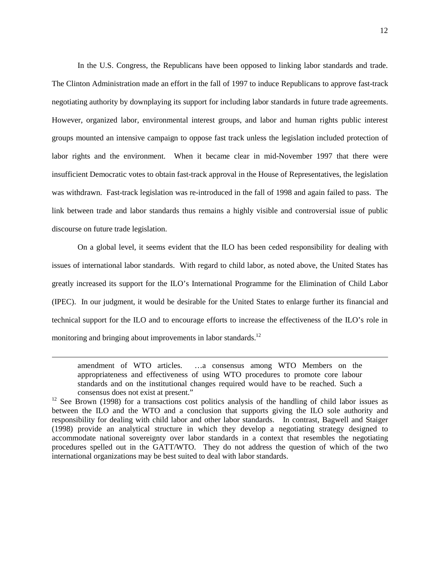In the U.S. Congress, the Republicans have been opposed to linking labor standards and trade. The Clinton Administration made an effort in the fall of 1997 to induce Republicans to approve fast-track negotiating authority by downplaying its support for including labor standards in future trade agreements. However, organized labor, environmental interest groups, and labor and human rights public interest groups mounted an intensive campaign to oppose fast track unless the legislation included protection of labor rights and the environment. When it became clear in mid-November 1997 that there were insufficient Democratic votes to obtain fast-track approval in the House of Representatives, the legislation was withdrawn. Fast-track legislation was re-introduced in the fall of 1998 and again failed to pass. The link between trade and labor standards thus remains a highly visible and controversial issue of public discourse on future trade legislation.

On a global level, it seems evident that the ILO has been ceded responsibility for dealing with issues of international labor standards. With regard to child labor, as noted above, the United States has greatly increased its support for the ILO's International Programme for the Elimination of Child Labor (IPEC). In our judgment, it would be desirable for the United States to enlarge further its financial and technical support for the ILO and to encourage efforts to increase the effectiveness of the ILO's role in monitoring and bringing about improvements in labor standards.<sup>12</sup>

 $\overline{a}$ 

amendment of WTO articles. …a consensus among WTO Members on the appropriateness and effectiveness of using WTO procedures to promote core labour standards and on the institutional changes required would have to be reached. Such a consensus does not exist at present."

<sup>&</sup>lt;sup>12</sup> See Brown (1998) for a transactions cost politics analysis of the handling of child labor issues as between the ILO and the WTO and a conclusion that supports giving the ILO sole authority and responsibility for dealing with child labor and other labor standards. In contrast, Bagwell and Staiger (1998) provide an analytical structure in which they develop a negotiating strategy designed to accommodate national sovereignty over labor standards in a context that resembles the negotiating procedures spelled out in the GATT/WTO. They do not address the question of which of the two international organizations may be best suited to deal with labor standards.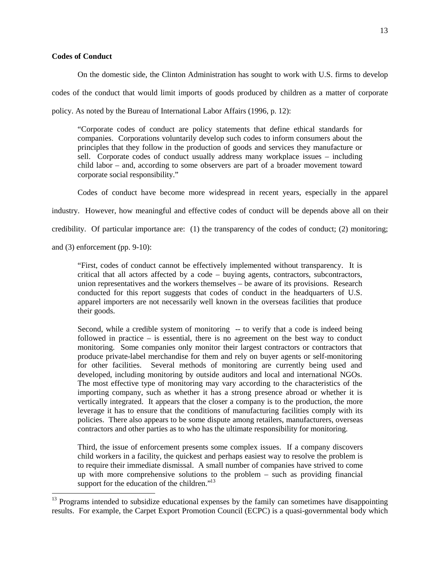# **Codes of Conduct**

On the domestic side, the Clinton Administration has sought to work with U.S. firms to develop codes of the conduct that would limit imports of goods produced by children as a matter of corporate policy. As noted by the Bureau of International Labor Affairs (1996, p. 12):

"Corporate codes of conduct are policy statements that define ethical standards for companies. Corporations voluntarily develop such codes to inform consumers about the principles that they follow in the production of goods and services they manufacture or sell. Corporate codes of conduct usually address many workplace issues – including child labor – and, according to some observers are part of a broader movement toward corporate social responsibility."

Codes of conduct have become more widespread in recent years, especially in the apparel

industry. However, how meaningful and effective codes of conduct will be depends above all on their

credibility. Of particular importance are: (1) the transparency of the codes of conduct; (2) monitoring;

and (3) enforcement (pp. 9-10):

 $\overline{a}$ 

"First, codes of conduct cannot be effectively implemented without transparency. It is critical that all actors affected by a code – buying agents, contractors, subcontractors, union representatives and the workers themselves – be aware of its provisions. Research conducted for this report suggests that codes of conduct in the headquarters of U.S. apparel importers are not necessarily well known in the overseas facilities that produce their goods.

Second, while a credible system of monitoring -- to verify that a code is indeed being followed in practice – is essential, there is no agreement on the best way to conduct monitoring. Some companies only monitor their largest contractors or contractors that produce private-label merchandise for them and rely on buyer agents or self-monitoring for other facilities. Several methods of monitoring are currently being used and developed, including monitoring by outside auditors and local and international NGOs. The most effective type of monitoring may vary according to the characteristics of the importing company, such as whether it has a strong presence abroad or whether it is vertically integrated. It appears that the closer a company is to the production, the more leverage it has to ensure that the conditions of manufacturing facilities comply with its policies. There also appears to be some dispute among retailers, manufacturers, overseas contractors and other parties as to who has the ultimate responsibility for monitoring.

Third, the issue of enforcement presents some complex issues. If a company discovers child workers in a facility, the quickest and perhaps easiest way to resolve the problem is to require their immediate dismissal. A small number of companies have strived to come up with more comprehensive solutions to the problem – such as providing financial support for the education of the children."<sup>13</sup>

<sup>&</sup>lt;sup>13</sup> Programs intended to subsidize educational expenses by the family can sometimes have disappointing results. For example, the Carpet Export Promotion Council (ECPC) is a quasi-governmental body which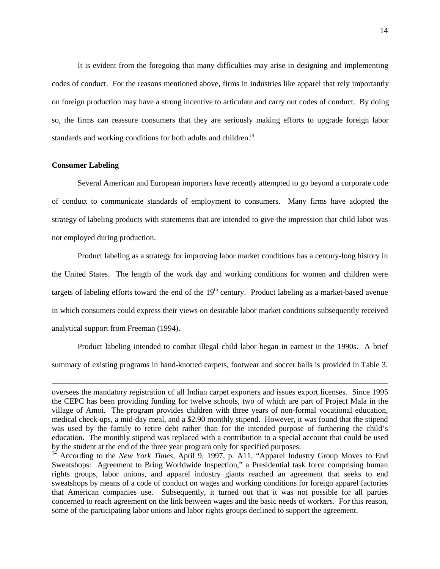It is evident from the foregoing that many difficulties may arise in designing and implementing codes of conduct. For the reasons mentioned above, firms in industries like apparel that rely importantly on foreign production may have a strong incentive to articulate and carry out codes of conduct. By doing so, the firms can reassure consumers that they are seriously making efforts to upgrade foreign labor standards and working conditions for both adults and children.<sup>14</sup>

## **Consumer Labeling**

 $\overline{a}$ 

Several American and European importers have recently attempted to go beyond a corporate code of conduct to communicate standards of employment to consumers. Many firms have adopted the strategy of labeling products with statements that are intended to give the impression that child labor was not employed during production.

Product labeling as a strategy for improving labor market conditions has a century-long history in the United States. The length of the work day and working conditions for women and children were targets of labeling efforts toward the end of the  $19<sup>th</sup>$  century. Product labeling as a market-based avenue in which consumers could express their views on desirable labor market conditions subsequently received analytical support from Freeman (1994).

Product labeling intended to combat illegal child labor began in earnest in the 1990s. A brief summary of existing programs in hand-knotted carpets, footwear and soccer balls is provided in Table 3.

oversees the mandatory registration of all Indian carpet exporters and issues export licenses. Since 1995 the CEPC has been providing funding for twelve schools, two of which are part of Project Mala in the village of Amoi. The program provides children with three years of non-formal vocational education, medical check-ups, a mid-day meal, and a \$2.90 monthly stipend. However, it was found that the stipend was used by the family to retire debt rather than for the intended purpose of furthering the child's education. The monthly stipend was replaced with a contribution to a special account that could be used by the student at the end of the three year program only for specified purposes.

<sup>&</sup>lt;sup>14</sup> According to the *New York Times*, April 9, 1997, p. A11, "Apparel Industry Group Moves to End Sweatshops: Agreement to Bring Worldwide Inspection," a Presidential task force comprising human rights groups, labor unions, and apparel industry giants reached an agreement that seeks to end sweatshops by means of a code of conduct on wages and working conditions for foreign apparel factories that American companies use. Subsequently, it turned out that it was not possible for all parties concerned to reach agreement on the link between wages and the basic needs of workers. For this reason, some of the participating labor unions and labor rights groups declined to support the agreement.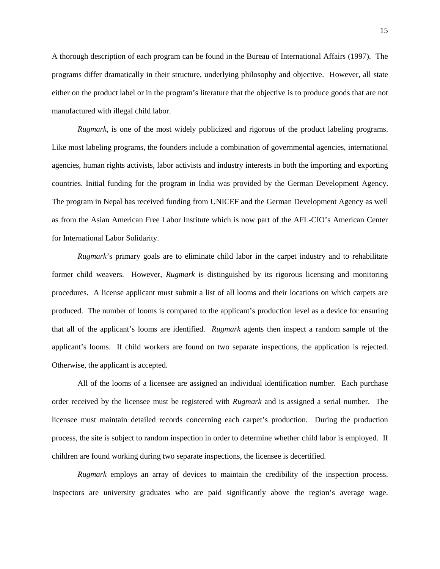A thorough description of each program can be found in the Bureau of International Affairs (1997). The programs differ dramatically in their structure, underlying philosophy and objective. However, all state either on the product label or in the program's literature that the objective is to produce goods that are not manufactured with illegal child labor.

*Rugmark*, is one of the most widely publicized and rigorous of the product labeling programs. Like most labeling programs, the founders include a combination of governmental agencies, international agencies, human rights activists, labor activists and industry interests in both the importing and exporting countries. Initial funding for the program in India was provided by the German Development Agency. The program in Nepal has received funding from UNICEF and the German Development Agency as well as from the Asian American Free Labor Institute which is now part of the AFL-CIO's American Center for International Labor Solidarity.

*Rugmark*'s primary goals are to eliminate child labor in the carpet industry and to rehabilitate former child weavers. However, *Rugmark* is distinguished by its rigorous licensing and monitoring procedures. A license applicant must submit a list of all looms and their locations on which carpets are produced. The number of looms is compared to the applicant's production level as a device for ensuring that all of the applicant's looms are identified. *Rugmark* agents then inspect a random sample of the applicant's looms. If child workers are found on two separate inspections, the application is rejected. Otherwise, the applicant is accepted.

All of the looms of a licensee are assigned an individual identification number. Each purchase order received by the licensee must be registered with *Rugmark* and is assigned a serial number. The licensee must maintain detailed records concerning each carpet's production. During the production process, the site is subject to random inspection in order to determine whether child labor is employed. If children are found working during two separate inspections, the licensee is decertified.

*Rugmark* employs an array of devices to maintain the credibility of the inspection process. Inspectors are university graduates who are paid significantly above the region's average wage.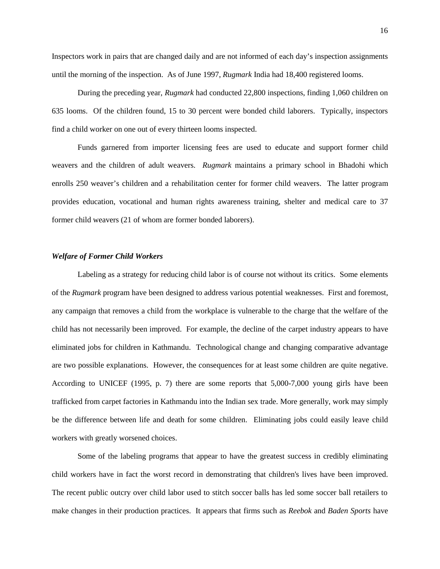Inspectors work in pairs that are changed daily and are not informed of each day's inspection assignments until the morning of the inspection. As of June 1997, *Rugmark* India had 18,400 registered looms.

During the preceding year, *Rugmark* had conducted 22,800 inspections, finding 1,060 children on 635 looms. Of the children found, 15 to 30 percent were bonded child laborers. Typically, inspectors find a child worker on one out of every thirteen looms inspected.

Funds garnered from importer licensing fees are used to educate and support former child weavers and the children of adult weavers. *Rugmark* maintains a primary school in Bhadohi which enrolls 250 weaver's children and a rehabilitation center for former child weavers. The latter program provides education, vocational and human rights awareness training, shelter and medical care to 37 former child weavers (21 of whom are former bonded laborers).

# *Welfare of Former Child Workers*

Labeling as a strategy for reducing child labor is of course not without its critics. Some elements of the *Rugmark* program have been designed to address various potential weaknesses. First and foremost, any campaign that removes a child from the workplace is vulnerable to the charge that the welfare of the child has not necessarily been improved. For example, the decline of the carpet industry appears to have eliminated jobs for children in Kathmandu. Technological change and changing comparative advantage are two possible explanations. However, the consequences for at least some children are quite negative. According to UNICEF (1995, p. 7) there are some reports that 5,000-7,000 young girls have been trafficked from carpet factories in Kathmandu into the Indian sex trade. More generally, work may simply be the difference between life and death for some children. Eliminating jobs could easily leave child workers with greatly worsened choices.

Some of the labeling programs that appear to have the greatest success in credibly eliminating child workers have in fact the worst record in demonstrating that children's lives have been improved. The recent public outcry over child labor used to stitch soccer balls has led some soccer ball retailers to make changes in their production practices. It appears that firms such as *Reebok* and *Baden Sports* have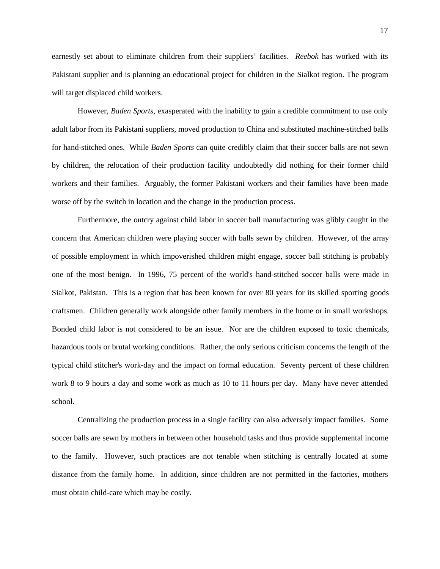earnestly set about to eliminate children from their suppliers' facilities. *Reebok* has worked with its Pakistani supplier and is planning an educational project for children in the Sialkot region. The program will target displaced child workers.

However, *Baden Sports*, exasperated with the inability to gain a credible commitment to use only adult labor from its Pakistani suppliers, moved production to China and substituted machine-stitched balls for hand-stitched ones. While *Baden Sports* can quite credibly claim that their soccer balls are not sewn by children, the relocation of their production facility undoubtedly did nothing for their former child workers and their families. Arguably, the former Pakistani workers and their families have been made worse off by the switch in location and the change in the production process.

Furthermore, the outcry against child labor in soccer ball manufacturing was glibly caught in the concern that American children were playing soccer with balls sewn by children. However, of the array of possible employment in which impoverished children might engage, soccer ball stitching is probably one of the most benign. In 1996, 75 percent of the world's hand-stitched soccer balls were made in Sialkot, Pakistan. This is a region that has been known for over 80 years for its skilled sporting goods craftsmen. Children generally work alongside other family members in the home or in small workshops. Bonded child labor is not considered to be an issue. Nor are the children exposed to toxic chemicals, hazardous tools or brutal working conditions. Rather, the only serious criticism concerns the length of the typical child stitcher's work-day and the impact on formal education. Seventy percent of these children work 8 to 9 hours a day and some work as much as 10 to 11 hours per day. Many have never attended school.

Centralizing the production process in a single facility can also adversely impact families. Some soccer balls are sewn by mothers in between other household tasks and thus provide supplemental income to the family. However, such practices are not tenable when stitching is centrally located at some distance from the family home. In addition, since children are not permitted in the factories, mothers must obtain child-care which may be costly.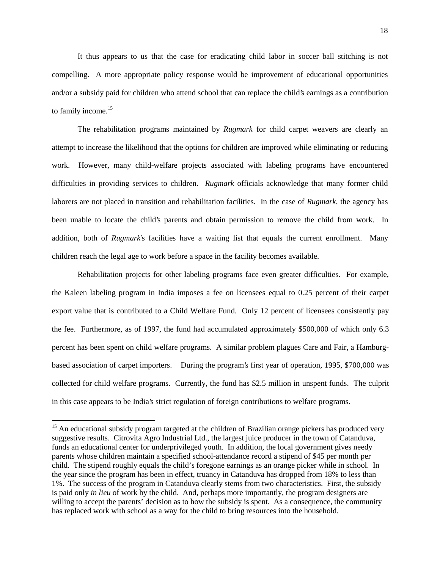It thus appears to us that the case for eradicating child labor in soccer ball stitching is not compelling. A more appropriate policy response would be improvement of educational opportunities and/or a subsidy paid for children who attend school that can replace the child's earnings as a contribution to family income.<sup>15</sup>

The rehabilitation programs maintained by *Rugmark* for child carpet weavers are clearly an attempt to increase the likelihood that the options for children are improved while eliminating or reducing work. However, many child-welfare projects associated with labeling programs have encountered difficulties in providing services to children. *Rugmark* officials acknowledge that many former child laborers are not placed in transition and rehabilitation facilities. In the case of *Rugmark*, the agency has been unable to locate the child's parents and obtain permission to remove the child from work. In addition, both of *Rugmark*'s facilities have a waiting list that equals the current enrollment. Many children reach the legal age to work before a space in the facility becomes available.

Rehabilitation projects for other labeling programs face even greater difficulties. For example, the Kaleen labeling program in India imposes a fee on licensees equal to 0.25 percent of their carpet export value that is contributed to a Child Welfare Fund. Only 12 percent of licensees consistently pay the fee. Furthermore, as of 1997, the fund had accumulated approximately \$500,000 of which only 6.3 percent has been spent on child welfare programs. A similar problem plagues Care and Fair, a Hamburgbased association of carpet importers. During the program's first year of operation, 1995, \$700,000 was collected for child welfare programs. Currently, the fund has \$2.5 million in unspent funds. The culprit in this case appears to be India's strict regulation of foreign contributions to welfare programs.

 $\overline{a}$ 

<sup>&</sup>lt;sup>15</sup> An educational subsidy program targeted at the children of Brazilian orange pickers has produced very suggestive results. Citrovita Agro Industrial Ltd., the largest juice producer in the town of Catanduva, funds an educational center for underprivileged youth. In addition, the local government gives needy parents whose children maintain a specified school-attendance record a stipend of \$45 per month per child. The stipend roughly equals the child's foregone earnings as an orange picker while in school. In the year since the program has been in effect, truancy in Catanduva has dropped from 18% to less than 1%. The success of the program in Catanduva clearly stems from two characteristics. First, the subsidy is paid only *in lieu* of work by the child. And, perhaps more importantly, the program designers are willing to accept the parents' decision as to how the subsidy is spent. As a consequence, the community has replaced work with school as a way for the child to bring resources into the household.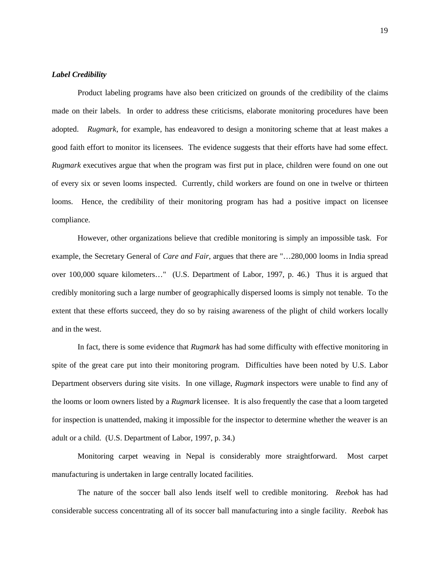# *Label Credibility*

Product labeling programs have also been criticized on grounds of the credibility of the claims made on their labels. In order to address these criticisms, elaborate monitoring procedures have been adopted. *Rugmark*, for example, has endeavored to design a monitoring scheme that at least makes a good faith effort to monitor its licensees. The evidence suggests that their efforts have had some effect. *Rugmark* executives argue that when the program was first put in place, children were found on one out of every six or seven looms inspected. Currently, child workers are found on one in twelve or thirteen looms. Hence, the credibility of their monitoring program has had a positive impact on licensee compliance.

However, other organizations believe that credible monitoring is simply an impossible task. For example, the Secretary General of *Care and Fair*, argues that there are "…280,000 looms in India spread over 100,000 square kilometers…" (U.S. Department of Labor, 1997, p. 46.) Thus it is argued that credibly monitoring such a large number of geographically dispersed looms is simply not tenable. To the extent that these efforts succeed, they do so by raising awareness of the plight of child workers locally and in the west.

In fact, there is some evidence that *Rugmark* has had some difficulty with effective monitoring in spite of the great care put into their monitoring program. Difficulties have been noted by U.S. Labor Department observers during site visits. In one village, *Rugmark* inspectors were unable to find any of the looms or loom owners listed by a *Rugmark* licensee. It is also frequently the case that a loom targeted for inspection is unattended, making it impossible for the inspector to determine whether the weaver is an adult or a child. (U.S. Department of Labor, 1997, p. 34.)

Monitoring carpet weaving in Nepal is considerably more straightforward. Most carpet manufacturing is undertaken in large centrally located facilities.

The nature of the soccer ball also lends itself well to credible monitoring. *Reebok* has had considerable success concentrating all of its soccer ball manufacturing into a single facility. *Reebok* has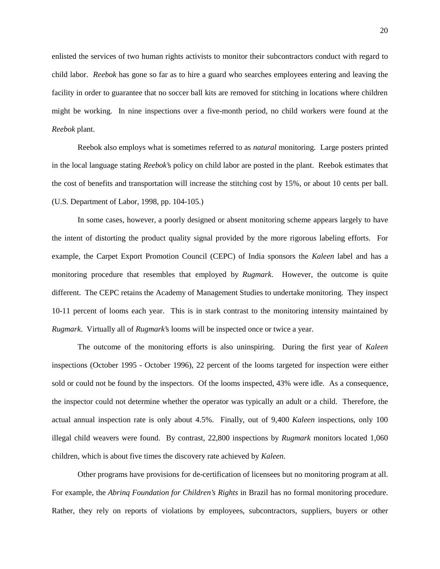enlisted the services of two human rights activists to monitor their subcontractors conduct with regard to child labor. *Reebok* has gone so far as to hire a guard who searches employees entering and leaving the facility in order to guarantee that no soccer ball kits are removed for stitching in locations where children might be working. In nine inspections over a five-month period, no child workers were found at the *Reebok* plant.

Reebok also employs what is sometimes referred to as *natural* monitoring. Large posters printed in the local language stating *Reebok*'s policy on child labor are posted in the plant. Reebok estimates that the cost of benefits and transportation will increase the stitching cost by 15%, or about 10 cents per ball. (U.S. Department of Labor, 1998, pp. 104-105.)

In some cases, however, a poorly designed or absent monitoring scheme appears largely to have the intent of distorting the product quality signal provided by the more rigorous labeling efforts. For example, the Carpet Export Promotion Council (CEPC) of India sponsors the *Kaleen* label and has a monitoring procedure that resembles that employed by *Rugmark*. However, the outcome is quite different. The CEPC retains the Academy of Management Studies to undertake monitoring. They inspect 10-11 percent of looms each year. This is in stark contrast to the monitoring intensity maintained by *Rugmark*. Virtually all of *Rugmark*'s looms will be inspected once or twice a year.

The outcome of the monitoring efforts is also uninspiring. During the first year of *Kaleen* inspections (October 1995 - October 1996), 22 percent of the looms targeted for inspection were either sold or could not be found by the inspectors. Of the looms inspected, 43% were idle. As a consequence, the inspector could not determine whether the operator was typically an adult or a child. Therefore, the actual annual inspection rate is only about 4.5%. Finally, out of 9,400 *Kaleen* inspections, only 100 illegal child weavers were found. By contrast, 22,800 inspections by *Rugmark* monitors located 1,060 children, which is about five times the discovery rate achieved by *Kaleen*.

Other programs have provisions for de-certification of licensees but no monitoring program at all. For example, the *Abrinq Foundation for Children's Rights* in Brazil has no formal monitoring procedure. Rather, they rely on reports of violations by employees, subcontractors, suppliers, buyers or other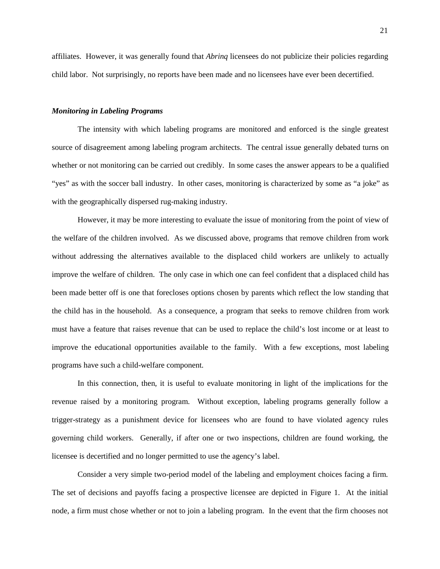affiliates. However, it was generally found that *Abrinq* licensees do not publicize their policies regarding child labor. Not surprisingly, no reports have been made and no licensees have ever been decertified.

## *Monitoring in Labeling Programs*

The intensity with which labeling programs are monitored and enforced is the single greatest source of disagreement among labeling program architects. The central issue generally debated turns on whether or not monitoring can be carried out credibly. In some cases the answer appears to be a qualified "yes" as with the soccer ball industry. In other cases, monitoring is characterized by some as "a joke" as with the geographically dispersed rug-making industry.

However, it may be more interesting to evaluate the issue of monitoring from the point of view of the welfare of the children involved. As we discussed above, programs that remove children from work without addressing the alternatives available to the displaced child workers are unlikely to actually improve the welfare of children. The only case in which one can feel confident that a displaced child has been made better off is one that forecloses options chosen by parents which reflect the low standing that the child has in the household. As a consequence, a program that seeks to remove children from work must have a feature that raises revenue that can be used to replace the child's lost income or at least to improve the educational opportunities available to the family. With a few exceptions, most labeling programs have such a child-welfare component.

In this connection, then, it is useful to evaluate monitoring in light of the implications for the revenue raised by a monitoring program. Without exception, labeling programs generally follow a trigger-strategy as a punishment device for licensees who are found to have violated agency rules governing child workers. Generally, if after one or two inspections, children are found working, the licensee is decertified and no longer permitted to use the agency's label.

Consider a very simple two-period model of the labeling and employment choices facing a firm. The set of decisions and payoffs facing a prospective licensee are depicted in Figure 1. At the initial node, a firm must chose whether or not to join a labeling program. In the event that the firm chooses not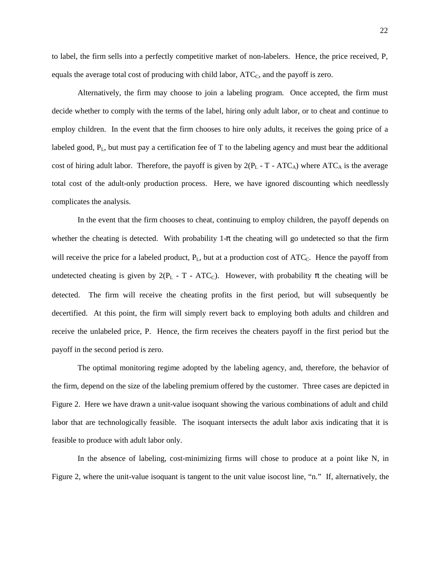to label, the firm sells into a perfectly competitive market of non-labelers. Hence, the price received, P, equals the average total cost of producing with child labor,  $ATC<sub>C</sub>$ , and the payoff is zero.

Alternatively, the firm may choose to join a labeling program. Once accepted, the firm must decide whether to comply with the terms of the label, hiring only adult labor, or to cheat and continue to employ children. In the event that the firm chooses to hire only adults, it receives the going price of a labeled good,  $P_L$ , but must pay a certification fee of T to the labeling agency and must bear the additional cost of hiring adult labor. Therefore, the payoff is given by  $2(P_L - T - ATC_A)$  where  $ATC_A$  is the average total cost of the adult-only production process. Here, we have ignored discounting which needlessly complicates the analysis.

In the event that the firm chooses to cheat, continuing to employ children, the payoff depends on whether the cheating is detected. With probability  $1-\pi$  the cheating will go undetected so that the firm will receive the price for a labeled product,  $P_L$ , but at a production cost of  $ATC_C$ . Hence the payoff from undetected cheating is given by  $2(P_L - T - ATC_C)$ . However, with probability  $\pi$  the cheating will be detected. The firm will receive the cheating profits in the first period, but will subsequently be decertified. At this point, the firm will simply revert back to employing both adults and children and receive the unlabeled price, P. Hence, the firm receives the cheaters payoff in the first period but the payoff in the second period is zero.

The optimal monitoring regime adopted by the labeling agency, and, therefore, the behavior of the firm, depend on the size of the labeling premium offered by the customer. Three cases are depicted in Figure 2. Here we have drawn a unit-value isoquant showing the various combinations of adult and child labor that are technologically feasible. The isoquant intersects the adult labor axis indicating that it is feasible to produce with adult labor only.

In the absence of labeling, cost-minimizing firms will chose to produce at a point like N, in Figure 2, where the unit-value isoquant is tangent to the unit value isocost line, "n." If, alternatively, the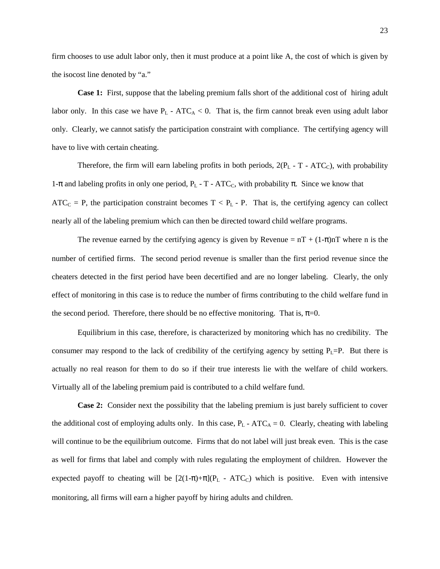firm chooses to use adult labor only, then it must produce at a point like A, the cost of which is given by the isocost line denoted by "a."

**Case 1:** First, suppose that the labeling premium falls short of the additional cost of hiring adult labor only. In this case we have  $P_L$  - ATC<sub>A</sub> < 0. That is, the firm cannot break even using adult labor only. Clearly, we cannot satisfy the participation constraint with compliance. The certifying agency will have to live with certain cheating.

Therefore, the firm will earn labeling profits in both periods,  $2(P_L - T - ATC_C)$ , with probability 1-π and labeling profits in only one period,  $P_L$  - T - ATC<sub>C</sub>, with probability π. Since we know that  $ATC<sub>C</sub> = P$ , the participation constraint becomes  $T < P<sub>L</sub> - P$ . That is, the certifying agency can collect nearly all of the labeling premium which can then be directed toward child welfare programs.

The revenue earned by the certifying agency is given by Revenue =  $nT + (1-\pi)nT$  where n is the number of certified firms. The second period revenue is smaller than the first period revenue since the cheaters detected in the first period have been decertified and are no longer labeling. Clearly, the only effect of monitoring in this case is to reduce the number of firms contributing to the child welfare fund in the second period. Therefore, there should be no effective monitoring. That is,  $\pi=0$ .

Equilibrium in this case, therefore, is characterized by monitoring which has no credibility. The consumer may respond to the lack of credibility of the certifying agency by setting  $P_L=P$ . But there is actually no real reason for them to do so if their true interests lie with the welfare of child workers. Virtually all of the labeling premium paid is contributed to a child welfare fund.

**Case 2:** Consider next the possibility that the labeling premium is just barely sufficient to cover the additional cost of employing adults only. In this case,  $P_L$  - ATC<sub>A</sub> = 0. Clearly, cheating with labeling will continue to be the equilibrium outcome. Firms that do not label will just break even. This is the case as well for firms that label and comply with rules regulating the employment of children. However the expected payoff to cheating will be  $[2(1-\pi)+\pi](P_L - ATC_C)$  which is positive. Even with intensive monitoring, all firms will earn a higher payoff by hiring adults and children.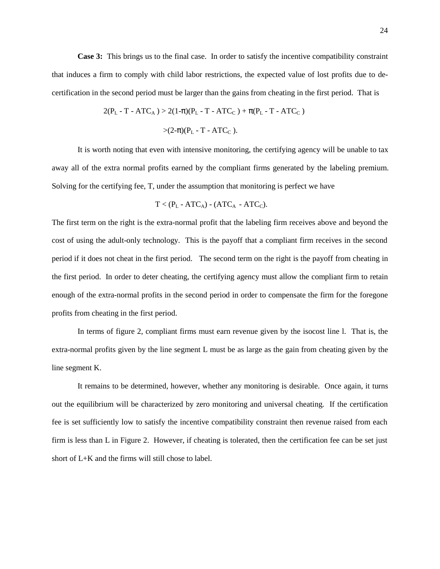**Case 3:** This brings us to the final case. In order to satisfy the incentive compatibility constraint that induces a firm to comply with child labor restrictions, the expected value of lost profits due to decertification in the second period must be larger than the gains from cheating in the first period. That is

$$
2(P_{L} - T - ATC_{A}) > 2(1-\pi)(P_{L} - T - ATC_{C}) + \pi(P_{L} - T - ATC_{C})
$$

$$
\geq (2-\pi)(P_L - T - ATC_C)
$$
.

It is worth noting that even with intensive monitoring, the certifying agency will be unable to tax away all of the extra normal profits earned by the compliant firms generated by the labeling premium. Solving for the certifying fee, T, under the assumption that monitoring is perfect we have

$$
T < (P_L - ATC_A) - (ATC_A - ATC_C).
$$

The first term on the right is the extra-normal profit that the labeling firm receives above and beyond the cost of using the adult-only technology. This is the payoff that a compliant firm receives in the second period if it does not cheat in the first period. The second term on the right is the payoff from cheating in the first period. In order to deter cheating, the certifying agency must allow the compliant firm to retain enough of the extra-normal profits in the second period in order to compensate the firm for the foregone profits from cheating in the first period.

In terms of figure 2, compliant firms must earn revenue given by the isocost line l. That is, the extra-normal profits given by the line segment L must be as large as the gain from cheating given by the line segment K.

It remains to be determined, however, whether any monitoring is desirable. Once again, it turns out the equilibrium will be characterized by zero monitoring and universal cheating. If the certification fee is set sufficiently low to satisfy the incentive compatibility constraint then revenue raised from each firm is less than L in Figure 2. However, if cheating is tolerated, then the certification fee can be set just short of L+K and the firms will still chose to label.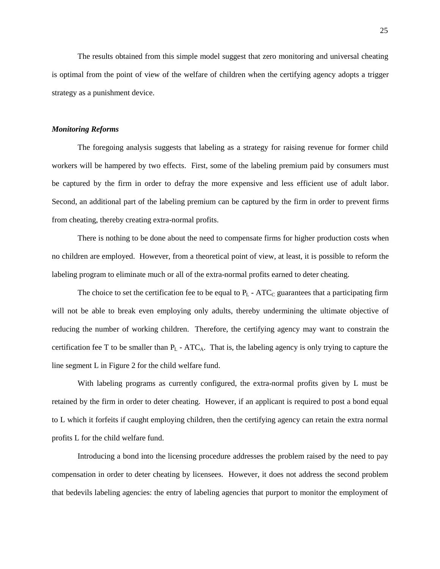The results obtained from this simple model suggest that zero monitoring and universal cheating is optimal from the point of view of the welfare of children when the certifying agency adopts a trigger strategy as a punishment device.

## *Monitoring Reforms*

The foregoing analysis suggests that labeling as a strategy for raising revenue for former child workers will be hampered by two effects. First, some of the labeling premium paid by consumers must be captured by the firm in order to defray the more expensive and less efficient use of adult labor. Second, an additional part of the labeling premium can be captured by the firm in order to prevent firms from cheating, thereby creating extra-normal profits.

There is nothing to be done about the need to compensate firms for higher production costs when no children are employed. However, from a theoretical point of view, at least, it is possible to reform the labeling program to eliminate much or all of the extra-normal profits earned to deter cheating.

The choice to set the certification fee to be equal to  $P_L$  - ATC<sub>C</sub> guarantees that a participating firm will not be able to break even employing only adults, thereby undermining the ultimate objective of reducing the number of working children. Therefore, the certifying agency may want to constrain the certification fee T to be smaller than  $P_L$  - ATC<sub>A</sub>. That is, the labeling agency is only trying to capture the line segment L in Figure 2 for the child welfare fund.

With labeling programs as currently configured, the extra-normal profits given by L must be retained by the firm in order to deter cheating. However, if an applicant is required to post a bond equal to L which it forfeits if caught employing children, then the certifying agency can retain the extra normal profits L for the child welfare fund.

Introducing a bond into the licensing procedure addresses the problem raised by the need to pay compensation in order to deter cheating by licensees. However, it does not address the second problem that bedevils labeling agencies: the entry of labeling agencies that purport to monitor the employment of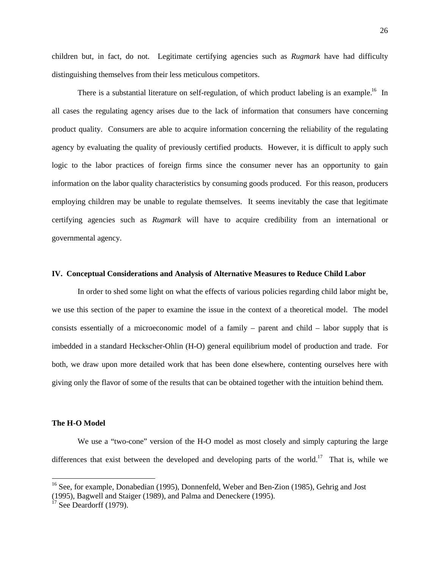children but, in fact, do not. Legitimate certifying agencies such as *Rugmark* have had difficulty distinguishing themselves from their less meticulous competitors.

There is a substantial literature on self-regulation, of which product labeling is an example.<sup>16</sup> In all cases the regulating agency arises due to the lack of information that consumers have concerning product quality. Consumers are able to acquire information concerning the reliability of the regulating agency by evaluating the quality of previously certified products. However, it is difficult to apply such logic to the labor practices of foreign firms since the consumer never has an opportunity to gain information on the labor quality characteristics by consuming goods produced. For this reason, producers employing children may be unable to regulate themselves. It seems inevitably the case that legitimate certifying agencies such as *Rugmark* will have to acquire credibility from an international or governmental agency.

# **IV. Conceptual Considerations and Analysis of Alternative Measures to Reduce Child Labor**

In order to shed some light on what the effects of various policies regarding child labor might be, we use this section of the paper to examine the issue in the context of a theoretical model. The model consists essentially of a microeconomic model of a family – parent and child – labor supply that is imbedded in a standard Heckscher-Ohlin (H-O) general equilibrium model of production and trade. For both, we draw upon more detailed work that has been done elsewhere, contenting ourselves here with giving only the flavor of some of the results that can be obtained together with the intuition behind them.

# **The H-O Model**

 $\overline{a}$ 

We use a "two-cone" version of the H-O model as most closely and simply capturing the large differences that exist between the developed and developing parts of the world.<sup>17</sup> That is, while we

<sup>&</sup>lt;sup>16</sup> See, for example, Donabedian (1995), Donnenfeld, Weber and Ben-Zion (1985), Gehrig and Jost (1995), Bagwell and Staiger (1989), and Palma and Deneckere (1995).

 $17$  See Deardorff (1979).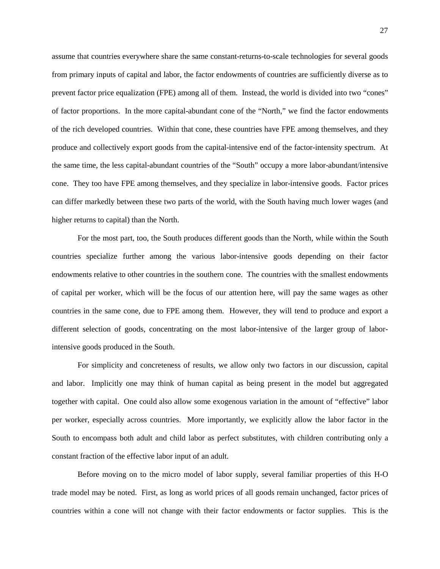assume that countries everywhere share the same constant-returns-to-scale technologies for several goods from primary inputs of capital and labor, the factor endowments of countries are sufficiently diverse as to prevent factor price equalization (FPE) among all of them. Instead, the world is divided into two "cones" of factor proportions. In the more capital-abundant cone of the "North," we find the factor endowments of the rich developed countries. Within that cone, these countries have FPE among themselves, and they produce and collectively export goods from the capital-intensive end of the factor-intensity spectrum. At the same time, the less capital-abundant countries of the "South" occupy a more labor-abundant/intensive cone. They too have FPE among themselves, and they specialize in labor-intensive goods. Factor prices can differ markedly between these two parts of the world, with the South having much lower wages (and higher returns to capital) than the North.

For the most part, too, the South produces different goods than the North, while within the South countries specialize further among the various labor-intensive goods depending on their factor endowments relative to other countries in the southern cone. The countries with the smallest endowments of capital per worker, which will be the focus of our attention here, will pay the same wages as other countries in the same cone, due to FPE among them. However, they will tend to produce and export a different selection of goods, concentrating on the most labor-intensive of the larger group of laborintensive goods produced in the South.

For simplicity and concreteness of results, we allow only two factors in our discussion, capital and labor. Implicitly one may think of human capital as being present in the model but aggregated together with capital. One could also allow some exogenous variation in the amount of "effective" labor per worker, especially across countries. More importantly, we explicitly allow the labor factor in the South to encompass both adult and child labor as perfect substitutes, with children contributing only a constant fraction of the effective labor input of an adult.

Before moving on to the micro model of labor supply, several familiar properties of this H-O trade model may be noted. First, as long as world prices of all goods remain unchanged, factor prices of countries within a cone will not change with their factor endowments or factor supplies. This is the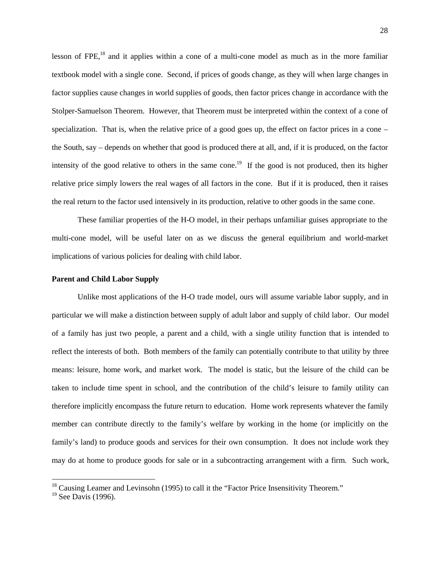lesson of FPE,<sup>18</sup> and it applies within a cone of a multi-cone model as much as in the more familiar textbook model with a single cone. Second, if prices of goods change, as they will when large changes in factor supplies cause changes in world supplies of goods, then factor prices change in accordance with the Stolper-Samuelson Theorem. However, that Theorem must be interpreted within the context of a cone of specialization. That is, when the relative price of a good goes up, the effect on factor prices in a cone – the South, say – depends on whether that good is produced there at all, and, if it is produced, on the factor intensity of the good relative to others in the same cone.<sup>19</sup> If the good is not produced, then its higher relative price simply lowers the real wages of all factors in the cone. But if it is produced, then it raises the real return to the factor used intensively in its production, relative to other goods in the same cone.

These familiar properties of the H-O model, in their perhaps unfamiliar guises appropriate to the multi-cone model, will be useful later on as we discuss the general equilibrium and world-market implications of various policies for dealing with child labor.

#### **Parent and Child Labor Supply**

Unlike most applications of the H-O trade model, ours will assume variable labor supply, and in particular we will make a distinction between supply of adult labor and supply of child labor. Our model of a family has just two people, a parent and a child, with a single utility function that is intended to reflect the interests of both. Both members of the family can potentially contribute to that utility by three means: leisure, home work, and market work. The model is static, but the leisure of the child can be taken to include time spent in school, and the contribution of the child's leisure to family utility can therefore implicitly encompass the future return to education. Home work represents whatever the family member can contribute directly to the family's welfare by working in the home (or implicitly on the family's land) to produce goods and services for their own consumption. It does not include work they may do at home to produce goods for sale or in a subcontracting arrangement with a firm. Such work,

l

 $18$  Causing Leamer and Levinsohn (1995) to call it the "Factor Price Insensitivity Theorem."

 $19$  See Davis (1996).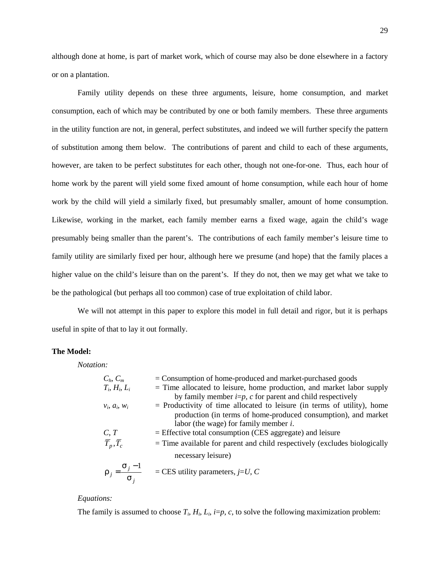although done at home, is part of market work, which of course may also be done elsewhere in a factory or on a plantation.

Family utility depends on these three arguments, leisure, home consumption, and market consumption, each of which may be contributed by one or both family members. These three arguments in the utility function are not, in general, perfect substitutes, and indeed we will further specify the pattern of substitution among them below. The contributions of parent and child to each of these arguments, however, are taken to be perfect substitutes for each other, though not one-for-one. Thus, each hour of home work by the parent will yield some fixed amount of home consumption, while each hour of home work by the child will yield a similarly fixed, but presumably smaller, amount of home consumption. Likewise, working in the market, each family member earns a fixed wage, again the child's wage presumably being smaller than the parent's. The contributions of each family member's leisure time to family utility are similarly fixed per hour, although here we presume (and hope) that the family places a higher value on the child's leisure than on the parent's. If they do not, then we may get what we take to be the pathological (but perhaps all too common) case of true exploitation of child labor.

We will not attempt in this paper to explore this model in full detail and rigor, but it is perhaps useful in spite of that to lay it out formally.

# **The Model:**

*Notation:*

| $C_h, C_m$                       | $=$ Consumption of home-produced and market-purchased goods                                       |
|----------------------------------|---------------------------------------------------------------------------------------------------|
| $T_i$ , $H_i$ , $L_i$            | $=$ Time allocated to leisure, home production, and market labor supply                           |
|                                  | by family member $i=p$ , c for parent and child respectively                                      |
| $V_i$ , $a_i$ , $W_i$            | $=$ Productivity of time allocated to leisure (in terms of utility), home                         |
|                                  | production (in terms of home-produced consumption), and market                                    |
|                                  | labor (the wage) for family member $i$ .                                                          |
| C, T                             | $=$ Effective total consumption (CES aggregate) and leisure                                       |
| $\overline{T}_p, \overline{T}_c$ | $=$ Time available for parent and child respectively (excludes biologically                       |
|                                  | necessary leisure)                                                                                |
|                                  | $\rho_j = \frac{\sigma_j - 1}{\sigma_j}$ = CES utility parameters, <i>j</i> = <i>U</i> , <i>C</i> |

## *Equations:*

The family is assumed to choose  $T_i$ ,  $H_i$ ,  $L_i$ ,  $i=p$ ,  $c$ , to solve the following maximization problem: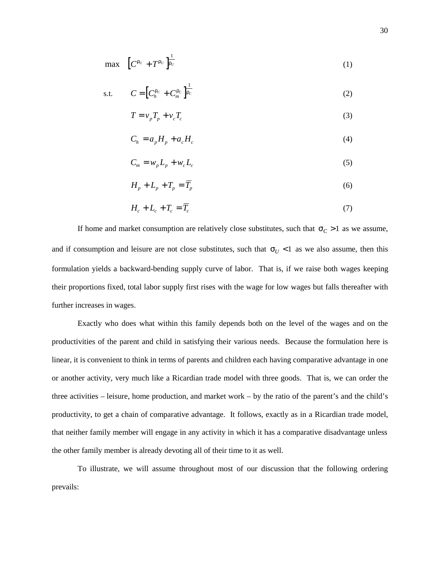$$
\max \left[ C^{\rho_U} + T^{\rho_U} \right]_{\rho_U}^{\frac{1}{\rho_U}} \tag{1}
$$

$$
\text{s.t.} \qquad C = \left[ C_h^{\rho_C} + C_m^{\rho_C} \right]^{\frac{1}{\rho_C}} \tag{2}
$$

$$
T = v_p T_p + v_c T_c \tag{3}
$$

$$
C_h = a_p H_p + a_c H_c \tag{4}
$$

$$
C_m = w_p L_p + w_c L_c \tag{5}
$$

$$
H_p + L_p + T_p = \overline{T}_p \tag{6}
$$

$$
H_c + L_c + T_c = \overline{T}_c \tag{7}
$$

If home and market consumption are relatively close substitutes, such that  $\sigma_C > 1$  as we assume, and if consumption and leisure are not close substitutes, such that  $\sigma_U < 1$  as we also assume, then this formulation yields a backward-bending supply curve of labor. That is, if we raise both wages keeping their proportions fixed, total labor supply first rises with the wage for low wages but falls thereafter with further increases in wages.

Exactly who does what within this family depends both on the level of the wages and on the productivities of the parent and child in satisfying their various needs. Because the formulation here is linear, it is convenient to think in terms of parents and children each having comparative advantage in one or another activity, very much like a Ricardian trade model with three goods. That is, we can order the three activities – leisure, home production, and market work – by the ratio of the parent's and the child's productivity, to get a chain of comparative advantage. It follows, exactly as in a Ricardian trade model, that neither family member will engage in any activity in which it has a comparative disadvantage unless the other family member is already devoting all of their time to it as well.

To illustrate, we will assume throughout most of our discussion that the following ordering prevails: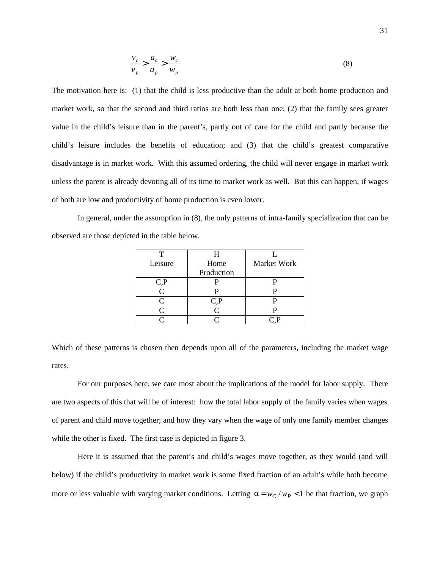$$
\frac{v_c}{v_p} > \frac{a_c}{a_p} > \frac{w_c}{w_p} \tag{8}
$$

The motivation here is: (1) that the child is less productive than the adult at both home production and market work, so that the second and third ratios are both less than one; (2) that the family sees greater value in the child's leisure than in the parent's, partly out of care for the child and partly because the child's leisure includes the benefits of education; and (3) that the child's greatest comparative disadvantage is in market work. With this assumed ordering, the child will never engage in market work unless the parent is already devoting all of its time to market work as well. But this can happen, if wages of both are low and productivity of home production is even lower.

In general, under the assumption in (8), the only patterns of intra-family specialization that can be observed are those depicted in the table below.

|                   | H                           |             |
|-------------------|-----------------------------|-------------|
| Leisure           | Home                        | Market Work |
|                   | Production                  |             |
| C, P              |                             |             |
| $\mathsf{\Gamma}$ |                             |             |
| $\subset$         | C, P                        |             |
| $\mathsf{\Gamma}$ | $\mathcal{C}_{\mathcal{C}}$ |             |
|                   |                             |             |

Which of these patterns is chosen then depends upon all of the parameters, including the market wage rates.

For our purposes here, we care most about the implications of the model for labor supply. There are two aspects of this that will be of interest: how the total labor supply of the family varies when wages of parent and child move together; and how they vary when the wage of only one family member changes while the other is fixed. The first case is depicted in figure 3.

Here it is assumed that the parent's and child's wages move together, as they would (and will below) if the child's productivity in market work is some fixed fraction of an adult's while both become more or less valuable with varying market conditions. Letting  $\alpha = w_C / w_P < 1$  be that fraction, we graph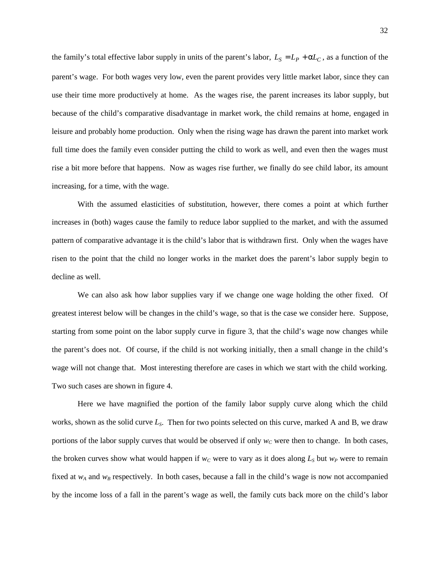the family's total effective labor supply in units of the parent's labor,  $L_S = L_P + \alpha L_C$ , as a function of the parent's wage. For both wages very low, even the parent provides very little market labor, since they can use their time more productively at home. As the wages rise, the parent increases its labor supply, but because of the child's comparative disadvantage in market work, the child remains at home, engaged in leisure and probably home production. Only when the rising wage has drawn the parent into market work full time does the family even consider putting the child to work as well, and even then the wages must rise a bit more before that happens. Now as wages rise further, we finally do see child labor, its amount increasing, for a time, with the wage.

With the assumed elasticities of substitution, however, there comes a point at which further increases in (both) wages cause the family to reduce labor supplied to the market, and with the assumed pattern of comparative advantage it is the child's labor that is withdrawn first. Only when the wages have risen to the point that the child no longer works in the market does the parent's labor supply begin to decline as well.

We can also ask how labor supplies vary if we change one wage holding the other fixed. Of greatest interest below will be changes in the child's wage, so that is the case we consider here. Suppose, starting from some point on the labor supply curve in figure 3, that the child's wage now changes while the parent's does not. Of course, if the child is not working initially, then a small change in the child's wage will not change that. Most interesting therefore are cases in which we start with the child working. Two such cases are shown in figure 4.

Here we have magnified the portion of the family labor supply curve along which the child works, shown as the solid curve *LS*. Then for two points selected on this curve, marked A and B, we draw portions of the labor supply curves that would be observed if only  $w<sub>C</sub>$  were then to change. In both cases, the broken curves show what would happen if  $w_C$  were to vary as it does along  $L_S$  but  $w_P$  were to remain fixed at  $w_A$  and  $w_B$  respectively. In both cases, because a fall in the child's wage is now not accompanied by the income loss of a fall in the parent's wage as well, the family cuts back more on the child's labor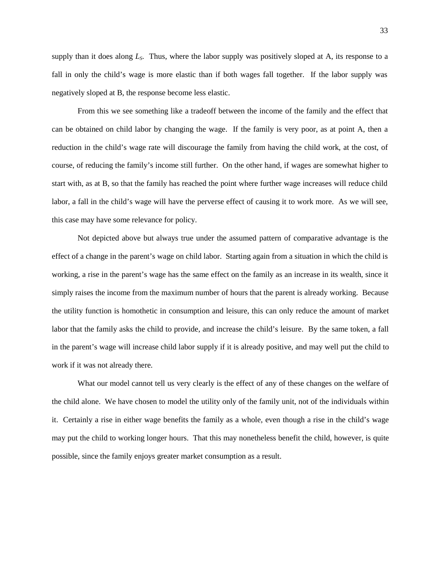supply than it does along  $L_s$ . Thus, where the labor supply was positively sloped at A, its response to a fall in only the child's wage is more elastic than if both wages fall together. If the labor supply was negatively sloped at B, the response become less elastic.

From this we see something like a tradeoff between the income of the family and the effect that can be obtained on child labor by changing the wage. If the family is very poor, as at point A, then a reduction in the child's wage rate will discourage the family from having the child work, at the cost, of course, of reducing the family's income still further. On the other hand, if wages are somewhat higher to start with, as at B, so that the family has reached the point where further wage increases will reduce child labor, a fall in the child's wage will have the perverse effect of causing it to work more. As we will see, this case may have some relevance for policy.

Not depicted above but always true under the assumed pattern of comparative advantage is the effect of a change in the parent's wage on child labor. Starting again from a situation in which the child is working, a rise in the parent's wage has the same effect on the family as an increase in its wealth, since it simply raises the income from the maximum number of hours that the parent is already working. Because the utility function is homothetic in consumption and leisure, this can only reduce the amount of market labor that the family asks the child to provide, and increase the child's leisure. By the same token, a fall in the parent's wage will increase child labor supply if it is already positive, and may well put the child to work if it was not already there.

What our model cannot tell us very clearly is the effect of any of these changes on the welfare of the child alone. We have chosen to model the utility only of the family unit, not of the individuals within it. Certainly a rise in either wage benefits the family as a whole, even though a rise in the child's wage may put the child to working longer hours. That this may nonetheless benefit the child, however, is quite possible, since the family enjoys greater market consumption as a result.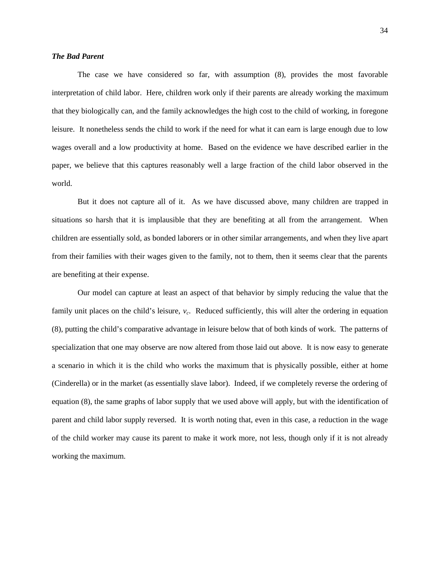## *The Bad Parent*

The case we have considered so far, with assumption (8), provides the most favorable interpretation of child labor. Here, children work only if their parents are already working the maximum that they biologically can, and the family acknowledges the high cost to the child of working, in foregone leisure. It nonetheless sends the child to work if the need for what it can earn is large enough due to low wages overall and a low productivity at home. Based on the evidence we have described earlier in the paper, we believe that this captures reasonably well a large fraction of the child labor observed in the world.

But it does not capture all of it. As we have discussed above, many children are trapped in situations so harsh that it is implausible that they are benefiting at all from the arrangement. When children are essentially sold, as bonded laborers or in other similar arrangements, and when they live apart from their families with their wages given to the family, not to them, then it seems clear that the parents are benefiting at their expense.

Our model can capture at least an aspect of that behavior by simply reducing the value that the family unit places on the child's leisure, *vc*. Reduced sufficiently, this will alter the ordering in equation (8), putting the child's comparative advantage in leisure below that of both kinds of work. The patterns of specialization that one may observe are now altered from those laid out above. It is now easy to generate a scenario in which it is the child who works the maximum that is physically possible, either at home (Cinderella) or in the market (as essentially slave labor). Indeed, if we completely reverse the ordering of equation (8), the same graphs of labor supply that we used above will apply, but with the identification of parent and child labor supply reversed. It is worth noting that, even in this case, a reduction in the wage of the child worker may cause its parent to make it work more, not less, though only if it is not already working the maximum.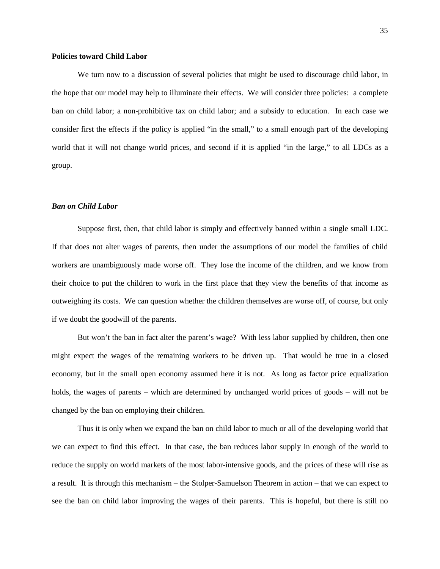## **Policies toward Child Labor**

We turn now to a discussion of several policies that might be used to discourage child labor, in the hope that our model may help to illuminate their effects. We will consider three policies: a complete ban on child labor; a non-prohibitive tax on child labor; and a subsidy to education. In each case we consider first the effects if the policy is applied "in the small," to a small enough part of the developing world that it will not change world prices, and second if it is applied "in the large," to all LDCs as a group.

#### *Ban on Child Labor*

Suppose first, then, that child labor is simply and effectively banned within a single small LDC. If that does not alter wages of parents, then under the assumptions of our model the families of child workers are unambiguously made worse off. They lose the income of the children, and we know from their choice to put the children to work in the first place that they view the benefits of that income as outweighing its costs. We can question whether the children themselves are worse off, of course, but only if we doubt the goodwill of the parents.

But won't the ban in fact alter the parent's wage? With less labor supplied by children, then one might expect the wages of the remaining workers to be driven up. That would be true in a closed economy, but in the small open economy assumed here it is not. As long as factor price equalization holds, the wages of parents – which are determined by unchanged world prices of goods – will not be changed by the ban on employing their children.

Thus it is only when we expand the ban on child labor to much or all of the developing world that we can expect to find this effect. In that case, the ban reduces labor supply in enough of the world to reduce the supply on world markets of the most labor-intensive goods, and the prices of these will rise as a result. It is through this mechanism – the Stolper-Samuelson Theorem in action – that we can expect to see the ban on child labor improving the wages of their parents. This is hopeful, but there is still no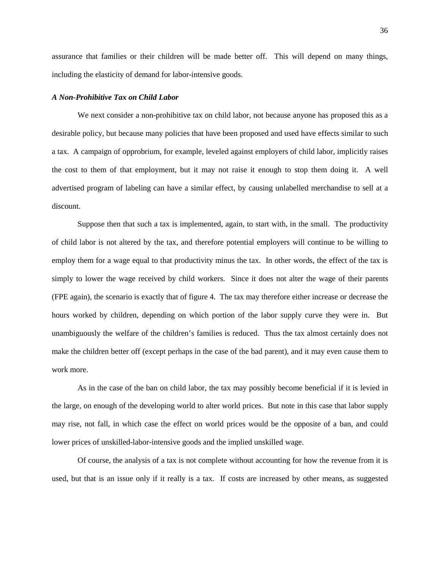assurance that families or their children will be made better off. This will depend on many things, including the elasticity of demand for labor-intensive goods.

### *A Non-Prohibitive Tax on Child Labor*

We next consider a non-prohibitive tax on child labor, not because anyone has proposed this as a desirable policy, but because many policies that have been proposed and used have effects similar to such a tax. A campaign of opprobrium, for example, leveled against employers of child labor, implicitly raises the cost to them of that employment, but it may not raise it enough to stop them doing it. A well advertised program of labeling can have a similar effect, by causing unlabelled merchandise to sell at a discount.

Suppose then that such a tax is implemented, again, to start with, in the small. The productivity of child labor is not altered by the tax, and therefore potential employers will continue to be willing to employ them for a wage equal to that productivity minus the tax. In other words, the effect of the tax is simply to lower the wage received by child workers. Since it does not alter the wage of their parents (FPE again), the scenario is exactly that of figure 4. The tax may therefore either increase or decrease the hours worked by children, depending on which portion of the labor supply curve they were in. But unambiguously the welfare of the children's families is reduced. Thus the tax almost certainly does not make the children better off (except perhaps in the case of the bad parent), and it may even cause them to work more.

As in the case of the ban on child labor, the tax may possibly become beneficial if it is levied in the large, on enough of the developing world to alter world prices. But note in this case that labor supply may rise, not fall, in which case the effect on world prices would be the opposite of a ban, and could lower prices of unskilled-labor-intensive goods and the implied unskilled wage.

Of course, the analysis of a tax is not complete without accounting for how the revenue from it is used, but that is an issue only if it really is a tax. If costs are increased by other means, as suggested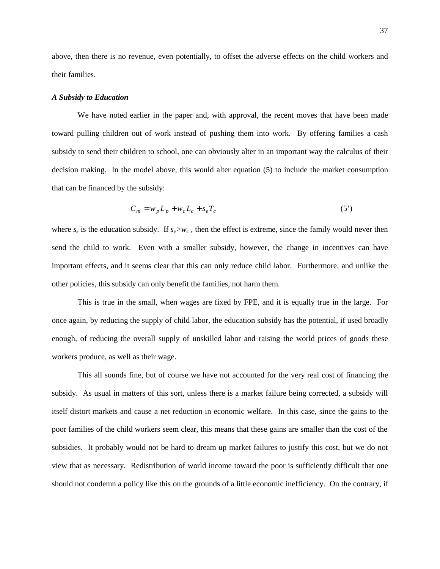above, then there is no revenue, even potentially, to offset the adverse effects on the child workers and their families.

### *A Subsidy to Education*

We have noted earlier in the paper and, with approval, the recent moves that have been made toward pulling children out of work instead of pushing them into work. By offering families a cash subsidy to send their children to school, one can obviously alter in an important way the calculus of their decision making. In the model above, this would alter equation (5) to include the market consumption that can be financed by the subsidy:

$$
C_m = w_p L_p + w_c L_c + s_e T_c \tag{5'}
$$

where  $s_e$  is the education subsidy. If  $s_e > w_c$ , then the effect is extreme, since the family would never then send the child to work. Even with a smaller subsidy, however, the change in incentives can have important effects, and it seems clear that this can only reduce child labor. Furthermore, and unlike the other policies, this subsidy can only benefit the families, not harm them.

This is true in the small, when wages are fixed by FPE, and it is equally true in the large. For once again, by reducing the supply of child labor, the education subsidy has the potential, if used broadly enough, of reducing the overall supply of unskilled labor and raising the world prices of goods these workers produce, as well as their wage.

This all sounds fine, but of course we have not accounted for the very real cost of financing the subsidy. As usual in matters of this sort, unless there is a market failure being corrected, a subsidy will itself distort markets and cause a net reduction in economic welfare. In this case, since the gains to the poor families of the child workers seem clear, this means that these gains are smaller than the cost of the subsidies. It probably would not be hard to dream up market failures to justify this cost, but we do not view that as necessary. Redistribution of world income toward the poor is sufficiently difficult that one should not condemn a policy like this on the grounds of a little economic inefficiency. On the contrary, if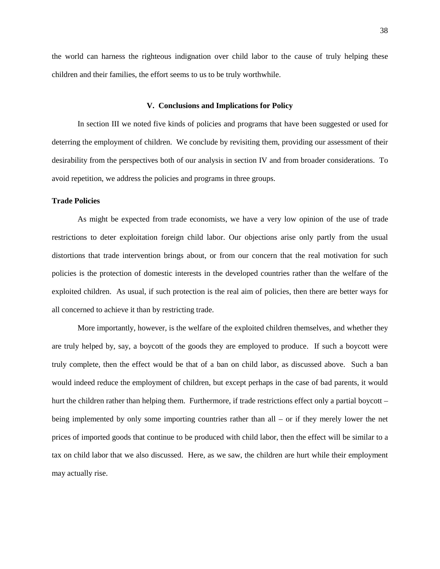the world can harness the righteous indignation over child labor to the cause of truly helping these children and their families, the effort seems to us to be truly worthwhile.

#### **V. Conclusions and Implications for Policy**

In section III we noted five kinds of policies and programs that have been suggested or used for deterring the employment of children. We conclude by revisiting them, providing our assessment of their desirability from the perspectives both of our analysis in section IV and from broader considerations. To avoid repetition, we address the policies and programs in three groups.

# **Trade Policies**

As might be expected from trade economists, we have a very low opinion of the use of trade restrictions to deter exploitation foreign child labor. Our objections arise only partly from the usual distortions that trade intervention brings about, or from our concern that the real motivation for such policies is the protection of domestic interests in the developed countries rather than the welfare of the exploited children. As usual, if such protection is the real aim of policies, then there are better ways for all concerned to achieve it than by restricting trade.

More importantly, however, is the welfare of the exploited children themselves, and whether they are truly helped by, say, a boycott of the goods they are employed to produce. If such a boycott were truly complete, then the effect would be that of a ban on child labor, as discussed above. Such a ban would indeed reduce the employment of children, but except perhaps in the case of bad parents, it would hurt the children rather than helping them. Furthermore, if trade restrictions effect only a partial boycott – being implemented by only some importing countries rather than all – or if they merely lower the net prices of imported goods that continue to be produced with child labor, then the effect will be similar to a tax on child labor that we also discussed. Here, as we saw, the children are hurt while their employment may actually rise.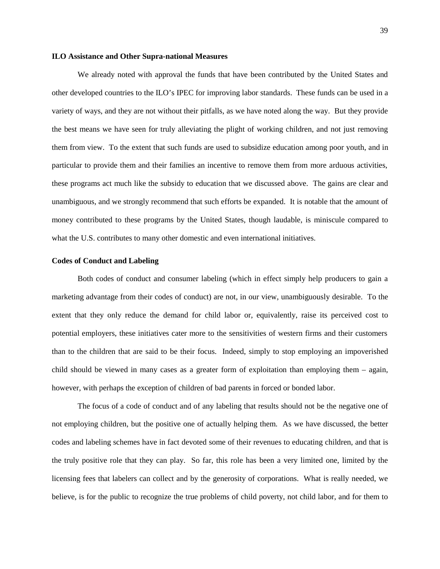## **ILO Assistance and Other Supra-national Measures**

We already noted with approval the funds that have been contributed by the United States and other developed countries to the ILO's IPEC for improving labor standards. These funds can be used in a variety of ways, and they are not without their pitfalls, as we have noted along the way. But they provide the best means we have seen for truly alleviating the plight of working children, and not just removing them from view. To the extent that such funds are used to subsidize education among poor youth, and in particular to provide them and their families an incentive to remove them from more arduous activities, these programs act much like the subsidy to education that we discussed above. The gains are clear and unambiguous, and we strongly recommend that such efforts be expanded. It is notable that the amount of money contributed to these programs by the United States, though laudable, is miniscule compared to what the U.S. contributes to many other domestic and even international initiatives.

# **Codes of Conduct and Labeling**

Both codes of conduct and consumer labeling (which in effect simply help producers to gain a marketing advantage from their codes of conduct) are not, in our view, unambiguously desirable. To the extent that they only reduce the demand for child labor or, equivalently, raise its perceived cost to potential employers, these initiatives cater more to the sensitivities of western firms and their customers than to the children that are said to be their focus. Indeed, simply to stop employing an impoverished child should be viewed in many cases as a greater form of exploitation than employing them – again, however, with perhaps the exception of children of bad parents in forced or bonded labor.

The focus of a code of conduct and of any labeling that results should not be the negative one of not employing children, but the positive one of actually helping them. As we have discussed, the better codes and labeling schemes have in fact devoted some of their revenues to educating children, and that is the truly positive role that they can play. So far, this role has been a very limited one, limited by the licensing fees that labelers can collect and by the generosity of corporations. What is really needed, we believe, is for the public to recognize the true problems of child poverty, not child labor, and for them to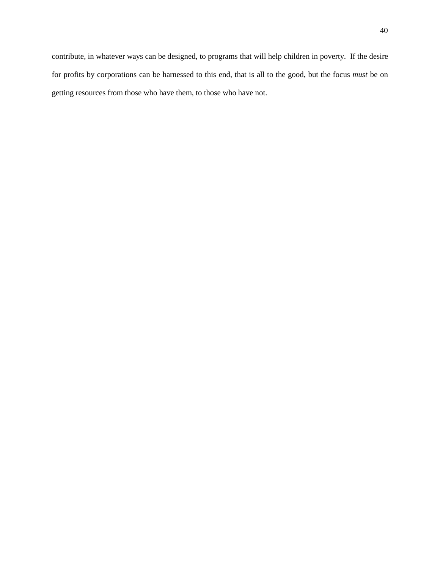contribute, in whatever ways can be designed, to programs that will help children in poverty. If the desire for profits by corporations can be harnessed to this end, that is all to the good, but the focus *must* be on getting resources from those who have them, to those who have not.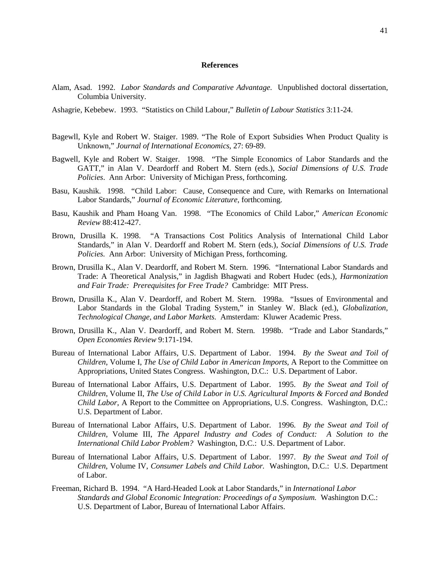#### **References**

- Alam, Asad. 1992. *Labor Standards and Comparative Advantage.* Unpublished doctoral dissertation, Columbia University.
- Ashagrie, Kebebew. 1993. "Statistics on Child Labour," *Bulletin of Labour Statistics* 3:11-24.
- Bagewll, Kyle and Robert W. Staiger. 1989. "The Role of Export Subsidies When Product Quality is Unknown," *Journal of International Economics*, 27: 69-89.
- Bagwell, Kyle and Robert W. Staiger. 1998. "The Simple Economics of Labor Standards and the GATT," in Alan V. Deardorff and Robert M. Stern (eds.), *Social Dimensions of U.S. Trade Policies*. Ann Arbor: University of Michigan Press, forthcoming.
- Basu, Kaushik. 1998. "Child Labor: Cause, Consequence and Cure, with Remarks on International Labor Standards," *Journal of Economic Literature*, forthcoming.
- Basu, Kaushik and Pham Hoang Van. 1998. "The Economics of Child Labor," *American Economic Review* 88:412-427.
- Brown, Drusilla K. 1998. "A Transactions Cost Politics Analysis of International Child Labor Standards," in Alan V. Deardorff and Robert M. Stern (eds.), *Social Dimensions of U.S. Trade Policies.* Ann Arbor: University of Michigan Press, forthcoming.
- Brown, Drusilla K., Alan V. Deardorff, and Robert M. Stern. 1996. "International Labor Standards and Trade: A Theoretical Analysis," in Jagdish Bhagwati and Robert Hudec (eds.), *Harmonization and Fair Trade: Prerequisites for Free Trade?* Cambridge: MIT Press.
- Brown, Drusilla K., Alan V. Deardorff, and Robert M. Stern. 1998a. "Issues of Environmental and Labor Standards in the Global Trading System," in Stanley W. Black (ed.), *Globalization, Technological Change, and Labor Markets.* Amsterdam: Kluwer Academic Press.
- Brown, Drusilla K., Alan V. Deardorff, and Robert M. Stern. 1998b. "Trade and Labor Standards," *Open Economies Review* 9:171-194.
- Bureau of International Labor Affairs, U.S. Department of Labor. 1994. *By the Sweat and Toil of Children*, Volume I, *The Use of Child Labor in American Imports*, A Report to the Committee on Appropriations, United States Congress. Washington, D.C.: U.S. Department of Labor.
- Bureau of International Labor Affairs, U.S. Department of Labor. 1995. *By the Sweat and Toil of Children*, Volume II, *The Use of Child Labor in U.S. Agricultural Imports & Forced and Bonded Child Labor*, A Report to the Committee on Appropriations, U.S. Congress. Washington, D.C.: U.S. Department of Labor.
- Bureau of International Labor Affairs, U.S. Department of Labor. 1996. *By the Sweat and Toil of Children,* Volume III, *The Apparel Industry and Codes of Conduct: A Solution to the International Child Labor Problem?* Washington, D.C.: U.S. Department of Labor.
- Bureau of International Labor Affairs, U.S. Department of Labor. 1997. *By the Sweat and Toil of Children*, Volume IV, *Consumer Labels and Child Labor.* Washington, D.C.: U.S. Department of Labor.
- Freeman, Richard B. 1994. "A Hard-Headed Look at Labor Standards," in *International Labor Standards and Global Economic Integration: Proceedings of a Symposium.* Washington D.C.: U.S. Department of Labor, Bureau of International Labor Affairs.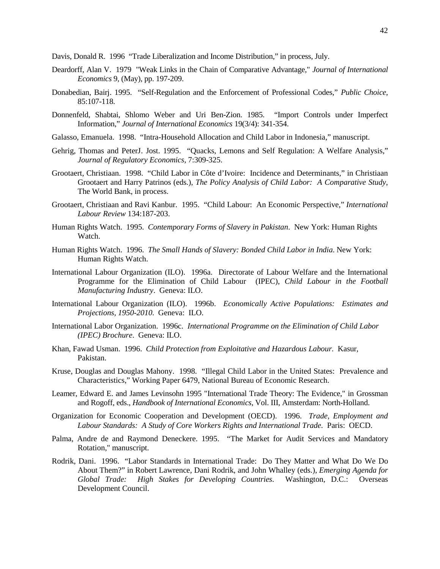Davis, Donald R. 1996 "Trade Liberalization and Income Distribution," in process, July.

- Deardorff, Alan V. 1979 "Weak Links in the Chain of Comparative Advantage," *Journal of International Economics* 9, (May), pp. 197-209.
- Donabedian, Bairj. 1995. "Self-Regulation and the Enforcement of Professional Codes," *Public Choice*, 85:107-118.
- Donnenfeld, Shabtai, Shlomo Weber and Uri Ben-Zion. 1985. "Import Controls under Imperfect Information," *Journal of International Economics* 19(3/4): 341-354.
- Galasso, Emanuela. 1998. "Intra-Household Allocation and Child Labor in Indonesia," manuscript.
- Gehrig, Thomas and PeterJ. Jost. 1995. "Quacks, Lemons and Self Regulation: A Welfare Analysis," *Journal of Regulatory Economics,* 7:309-325.
- Grootaert, Christiaan. 1998. "Child Labor in Côte d'Ivoire: Incidence and Determinants," in Christiaan Grootaert and Harry Patrinos (eds.), *The Policy Analysis of Child Labor: A Comparative Study*, The World Bank, in process.
- Grootaert, Christiaan and Ravi Kanbur. 1995. "Child Labour: An Economic Perspective," *International Labour Review* 134:187-203.
- Human Rights Watch. 1995. *Contemporary Forms of Slavery in Pakistan*. New York: Human Rights Watch.
- Human Rights Watch. 1996. *The Small Hands of Slavery: Bonded Child Labor in India*. New York: Human Rights Watch.
- International Labour Organization (ILO). 1996a. Directorate of Labour Welfare and the International Programme for the Elimination of Child Labour (IPEC), *Child Labour in the Football Manufacturing Industry*. Geneva: ILO.
- International Labour Organization (ILO). 1996b. *Economically Active Populations: Estimates and Projections, 1950-2010.* Geneva: ILO.
- International Labor Organization. 1996c. *International Programme on the Elimination of Child Labor (IPEC) Brochure*. Geneva: ILO.
- Khan, Fawad Usman. 1996. *Child Protection from Exploitative and Hazardous Labour*. Kasur, Pakistan.
- Kruse, Douglas and Douglas Mahony. 1998. "Illegal Child Labor in the United States: Prevalence and Characteristics," Working Paper 6479, National Bureau of Economic Research.
- Leamer, Edward E. and James Levinsohn 1995 "International Trade Theory: The Evidence," in Grossman and Rogoff, eds., *Handbook of International Economics*, Vol. III, Amsterdam: North-Holland.
- Organization for Economic Cooperation and Development (OECD). 1996. *Trade, Employment and* Labour Standards: A Study of Core Workers Rights and International Trade. Paris: OECD.
- Palma, Andre de and Raymond Deneckere. 1995. "The Market for Audit Services and Mandatory Rotation," manuscript.
- Rodrik, Dani. 1996. "Labor Standards in International Trade: Do They Matter and What Do We Do About Them?" in Robert Lawrence, Dani Rodrik, and John Whalley (eds.), *Emerging Agenda for Global Trade: High Stakes for Developing Countries*. Washington, D.C.: Overseas Development Council.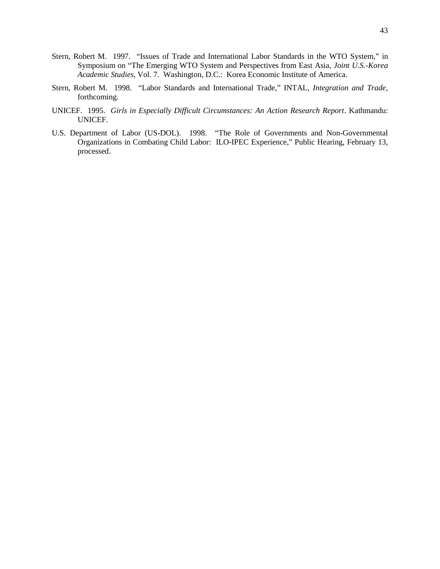- Stern, Robert M. 1997. "Issues of Trade and International Labor Standards in the WTO System," in Symposium on "The Emerging WTO System and Perspectives from East Asia, *Joint U.S.-Korea Academic Studies*, Vol. 7. Washington, D.C.: Korea Economic Institute of America.
- Stern, Robert M. 1998. "Labor Standards and International Trade," INTAL, *Integration and Trade*, forthcoming.
- UNICEF. 1995. *Girls in Especially Difficult Circumstances: An Action Research Report*. Kathmandu: UNICEF.
- U.S. Department of Labor (US-DOL). 1998. "The Role of Governments and Non-Governmental Organizations in Combating Child Labor: ILO-IPEC Experience," Public Hearing, February 13, processed.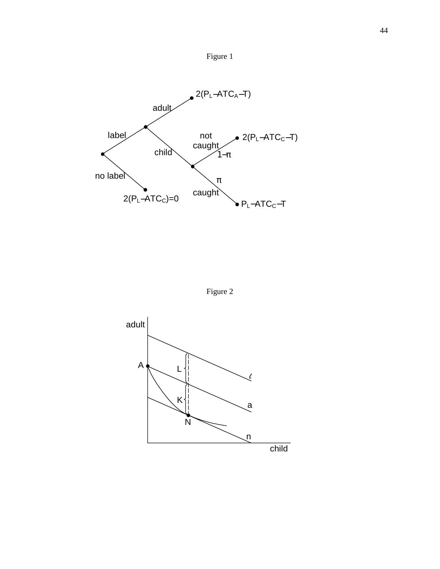



Figure 2

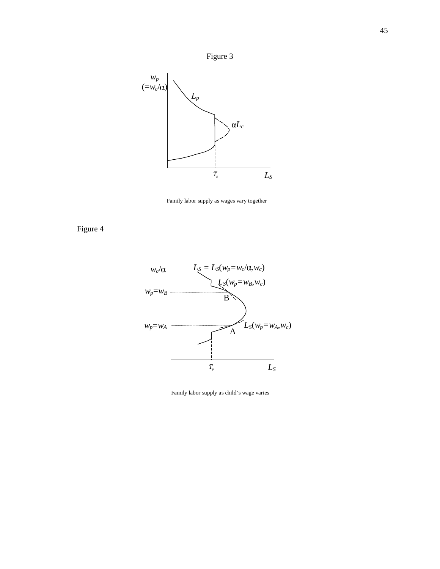



Family labor supply as wages vary together





Family labor supply as child's wage varies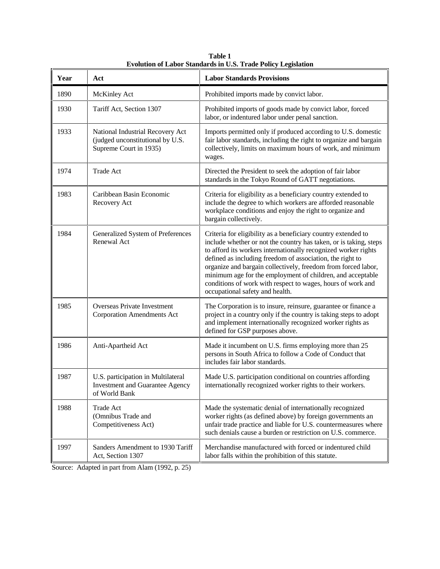| Table 1                                                              |
|----------------------------------------------------------------------|
| <b>Evolution of Labor Standards in U.S. Trade Policy Legislation</b> |

| Year | Act                                                                                            | <b>Labor Standards Provisions</b>                                                                                                                                                                                                                                                                                                                                                                                                                                                                  |
|------|------------------------------------------------------------------------------------------------|----------------------------------------------------------------------------------------------------------------------------------------------------------------------------------------------------------------------------------------------------------------------------------------------------------------------------------------------------------------------------------------------------------------------------------------------------------------------------------------------------|
| 1890 | McKinley Act                                                                                   | Prohibited imports made by convict labor.                                                                                                                                                                                                                                                                                                                                                                                                                                                          |
| 1930 | Tariff Act, Section 1307                                                                       | Prohibited imports of goods made by convict labor, forced<br>labor, or indentured labor under penal sanction.                                                                                                                                                                                                                                                                                                                                                                                      |
| 1933 | National Industrial Recovery Act<br>(judged unconstitutional by U.S.<br>Supreme Court in 1935) | Imports permitted only if produced according to U.S. domestic<br>fair labor standards, including the right to organize and bargain<br>collectively, limits on maximum hours of work, and minimum<br>wages.                                                                                                                                                                                                                                                                                         |
| 1974 | <b>Trade Act</b>                                                                               | Directed the President to seek the adoption of fair labor<br>standards in the Tokyo Round of GATT negotiations.                                                                                                                                                                                                                                                                                                                                                                                    |
| 1983 | Caribbean Basin Economic<br>Recovery Act                                                       | Criteria for eligibility as a beneficiary country extended to<br>include the degree to which workers are afforded reasonable<br>workplace conditions and enjoy the right to organize and<br>bargain collectively.                                                                                                                                                                                                                                                                                  |
| 1984 | Generalized System of Preferences<br>Renewal Act                                               | Criteria for eligibility as a beneficiary country extended to<br>include whether or not the country has taken, or is taking, steps<br>to afford its workers internationally recognized worker rights<br>defined as including freedom of association, the right to<br>organize and bargain collectively, freedom from forced labor,<br>minimum age for the employment of children, and acceptable<br>conditions of work with respect to wages, hours of work and<br>occupational safety and health. |
| 1985 | <b>Overseas Private Investment</b><br><b>Corporation Amendments Act</b>                        | The Corporation is to insure, reinsure, guarantee or finance a<br>project in a country only if the country is taking steps to adopt<br>and implement internationally recognized worker rights as<br>defined for GSP purposes above.                                                                                                                                                                                                                                                                |
| 1986 | Anti-Apartheid Act                                                                             | Made it incumbent on U.S. firms employing more than 25<br>persons in South Africa to follow a Code of Conduct that<br>includes fair labor standards.                                                                                                                                                                                                                                                                                                                                               |
| 1987 | U.S. participation in Multilateral<br>Investment and Guarantee Agency<br>of World Bank         | Made U.S. participation conditional on countries affording<br>internationally recognized worker rights to their workers.                                                                                                                                                                                                                                                                                                                                                                           |
| 1988 | <b>Trade Act</b><br>(Omnibus Trade and<br>Competitiveness Act)                                 | Made the systematic denial of internationally recognized<br>worker rights (as defined above) by foreign governments an<br>unfair trade practice and liable for U.S. countermeasures where<br>such denials cause a burden or restriction on U.S. commerce.                                                                                                                                                                                                                                          |
| 1997 | Sanders Amendment to 1930 Tariff<br>Act, Section 1307                                          | Merchandise manufactured with forced or indentured child<br>labor falls within the prohibition of this statute.                                                                                                                                                                                                                                                                                                                                                                                    |

Source: Adapted in part from Alam (1992, p. 25)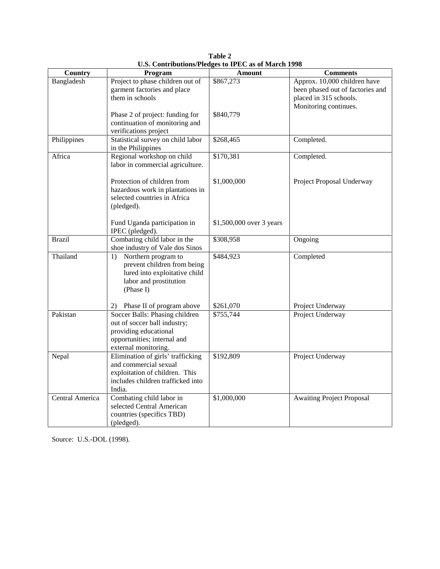| Country         | Program                                                                                                                                        | $\mathbf{0}$ . Contributions/I leages to 11 EC as of March 1990<br>Amount | <b>Comments</b>                                                  |
|-----------------|------------------------------------------------------------------------------------------------------------------------------------------------|---------------------------------------------------------------------------|------------------------------------------------------------------|
|                 |                                                                                                                                                |                                                                           |                                                                  |
| Bangladesh      | Project to phase children out of<br>garment factories and place                                                                                | \$867,273                                                                 | Approx. 10,000 children have<br>been phased out of factories and |
|                 | them in schools                                                                                                                                |                                                                           | placed in 315 schools.<br>Monitoring continues.                  |
|                 | Phase 2 of project: funding for                                                                                                                | \$840,779                                                                 |                                                                  |
|                 | continuation of monitoring and<br>verifications project                                                                                        |                                                                           |                                                                  |
| Philippines     | Statistical survey on child labor<br>in the Philippines                                                                                        | \$268,465                                                                 | Completed.                                                       |
| Africa          | Regional workshop on child<br>labor in commercial agriculture.                                                                                 | \$170,381                                                                 | Completed.                                                       |
|                 | Protection of children from<br>hazardous work in plantations in<br>selected countries in Africa<br>(pledged).                                  | \$1,000,000                                                               | Project Proposal Underway                                        |
|                 | Fund Uganda participation in<br>IPEC (pledged).                                                                                                | \$1,500,000 over 3 years                                                  |                                                                  |
| <b>Brazil</b>   | Combating child labor in the<br>shoe industry of Vale dos Sinos                                                                                | \$308,958                                                                 | Ongoing                                                          |
| Thailand        | Northern program to<br>1)<br>prevent children from being<br>lured into exploitative child<br>labor and prostitution<br>(Phase I)               | \$484,923                                                                 | Completed                                                        |
|                 | Phase II of program above<br>2)                                                                                                                | \$261,070                                                                 | Project Underway                                                 |
| Pakistan        | Soccer Balls: Phasing children<br>out of soccer ball industry;<br>providing educational<br>opportunities; internal and<br>external monitoring. | \$755,744                                                                 | Project Underway                                                 |
| Nepal           | Elimination of girls' trafficking                                                                                                              | \$192,809                                                                 | Project Underway                                                 |
|                 | and commercial sexual<br>exploitation of children. This<br>includes children trafficked into<br>India.                                         |                                                                           |                                                                  |
| Central America | Combating child labor in<br>selected Central American<br>countries (specifics TBD)<br>(pledged).                                               | \$1,000,000                                                               | <b>Awaiting Project Proposal</b>                                 |

**Table 2 U.S. Contributions/Pledges to IPEC as of March 1998**

Source: U.S.-DOL (1998).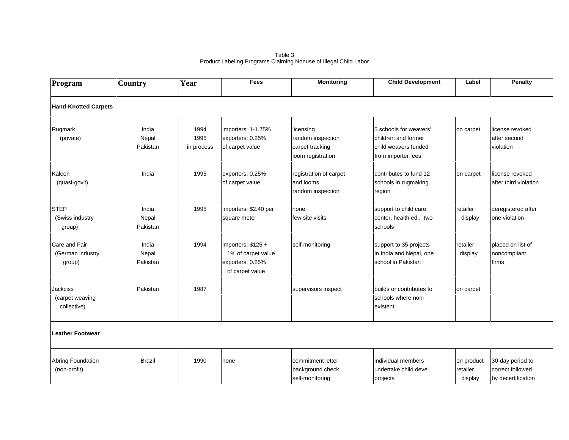Table 3 Product Labeling Programs Claiming Nonuse of Illegal Child Labor

| Program                                     | <b>Country</b>             | Year         | Fees                                                                            | <b>Monitoring</b>                                        | <b>Child Development</b>                                                | Label                             | <b>Penalty</b>                                             |
|---------------------------------------------|----------------------------|--------------|---------------------------------------------------------------------------------|----------------------------------------------------------|-------------------------------------------------------------------------|-----------------------------------|------------------------------------------------------------|
| <b>Hand-Knotted Carpets</b>                 |                            |              |                                                                                 |                                                          |                                                                         |                                   |                                                            |
| Rugmark<br>(private)                        | India<br>Nepal             | 1994<br>1995 | importers: 1-1.75%<br>exporters: 0.25%                                          | licensing<br>random inspection                           | 5 schools for weavers'<br>children and former                           | on carpet                         | license revoked<br>after second                            |
|                                             | Pakistan                   | in process   | of carpet value                                                                 | carpet tracking<br>loom registration                     | child weavers funded<br>from importer fees                              |                                   | violation                                                  |
| Kaleen<br>(quasi-gov't)                     | India                      | 1995         | exporters: 0.25%<br>of carpet value                                             | registration of carpet<br>and looms<br>random inspection | contributes to fund 12<br>schools in rugmaking<br>region                | on carpet                         | license revoked<br>after third violation                   |
| <b>STEP</b><br>(Swiss industry<br>group)    | India<br>Nepal<br>Pakistan | 1995         | importers: \$2.40 per<br>square meter                                           | none<br>few site visits                                  | support to child care<br>center, health ed., two<br>schools             | retailer<br>display               | deregistered after<br>one violation                        |
| Care and Fair<br>(German industry<br>group) | India<br>Nepal<br>Pakistan | 1994         | importers: \$125 +<br>1% of carpet value<br>exporters: 0.25%<br>of carpet value | self-monitoring                                          | support to 35 projects<br>in India and Nepal, one<br>school in Pakistan | retailer<br>display               | placed on list of<br>noncompliant<br>firms                 |
| Jackciss<br>(carpet weaving<br>collective)  | Pakistan                   | 1987         |                                                                                 | supervisors inspect                                      | builds or contributes to<br>schools where non-<br>existent              | on carpet                         |                                                            |
| <b>Leather Footwear</b>                     |                            |              |                                                                                 |                                                          |                                                                         |                                   |                                                            |
| Abring Foundation<br>(non-profit)           | <b>Brazil</b>              | 1990         | none                                                                            | commitment letter<br>background check<br>self-monitoring | individual members<br>undertake child devel.<br>projects                | on product<br>retailer<br>display | 30-day period to<br>correct followed<br>by decertification |